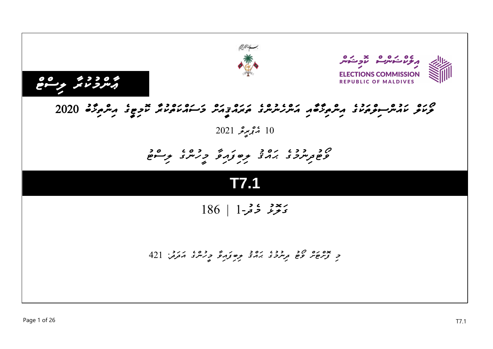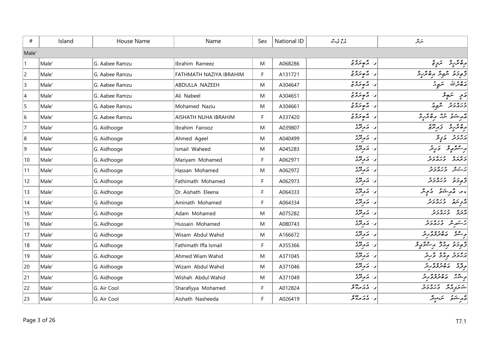| #              | Island | House Name     | Name                    | Sex | National ID | ، ه ، ره<br>مر، سر         | ىئرىتر                                                 |
|----------------|--------|----------------|-------------------------|-----|-------------|----------------------------|--------------------------------------------------------|
| Male'          |        |                |                         |     |             |                            |                                                        |
| $\vert$ 1      | Male'  | G. Aabee Ramzu | Ibrahim Rameez          | M   | A068286     | ی گھ مرد ہے                | ە ھەترىرى<br>رەھىرىرى                                  |
| $ 2\rangle$    | Male'  | G. Aabee Ramzu | FATHMATH NAZIYA IBRAHIM | F   | A131721     | ی گھ مرد ہے                | ژُودَهُ سُمِيرٌ رَهْ پُرِدْ                            |
| $\vert$ 3      | Male'  | G. Aabee Ramzu | ABDULLA NAZEEH          | M   | A304647     | ى ئەھەردى<br>ئ             | رەقەللە ئىرى <i>مى</i>                                 |
| $\overline{4}$ | Male'  | G. Aabee Ramzu | Ali Nabeel              | M   | A304651     | ر گھ پروج<br>ر گھ پرونج    | ړَر سَوِرْ                                             |
| $\overline{5}$ | Male'  | G. Aabee Ramzu | Mohamed Naziu           | M   | A304661     | ى ئەھەردى<br>ئ             | ورەرو گېږ                                              |
| $\overline{6}$ | Male'  | G. Aabee Ramzu | AISHATH NUHA IBRAHIM    | F   | A337420     | ى ئەھەمدىسى<br>ئ           | ومرشنتي الرائد مره ومرباد                              |
| 7              | Male'  | G. Aidhooge    | Ibrahim Fairooz         | M   | A039807     | و٠ مکرونوی<br>د ۱ مکرونوی  | موه تر ده و مرحم                                       |
| 8              | Male'  | G. Aidhooge    | Ahmed Ageel             | M   | A040499     |                            | رەر ئەتى ئى                                            |
| 9              | Male'  | G. Aidhooge    | Ismail Waheed           | M   | A045283     | و٠ پر دو٠<br>د ۱ پر ترو    | وكوحياء وكالمحمد                                       |
| 10             | Male'  | G. Aidhooge    | Mariyam Mohamed         | F   | A062971     | و٠ پر دو٠<br>د ۱ پر ترو    | קסקס כקסקב<br><mark>קי<i>אוקר</i> קיי</mark> מכנק      |
| 11             | Male'  | G. Aidhooge    | Hassan Mohamed          | M   | A062972     | و٠<br>ى شەھەر              | و ره ر د<br>تر پر ژنر<br>برسەيىتىر                     |
| 12             | Male'  | G. Aidhooge    | Fathimath Mohamed       | F   | A062973     | و .<br>ی . هرمزی           | و ده دره ده د                                          |
| 13             | Male'  | G. Aidhooge    | Dr. Aishath Eleena      | F   | A064333     | و .<br>د . ه مرمرد         | ۽ سا شهرڪو شهر سگر جي سگر                              |
| 14             | Male'  | G. Aidhooge    | Aminath Mohamed         | F   | A064334     | ء کم میں<br>د کم           | و ده وره دو                                            |
| 15             | Male'  | G. Aidhooge    | Adam Mohamed            | M   | A075282     | و٠ دکم وو ٤<br>د ۱ دکم فرو | وره وره رو<br><i>م</i> نرو وبرمرونر                    |
| 16             | Male'  | G. Aidhooge    | Hussain Mohamed         | M   | A080743     | و .<br>ی . هرمزی           | جر شهر مدرور ور                                        |
| 17             | Male'  | G. Aidhooge    | Wisam Abdul Wahid       | M   | A166672     | و .<br>د . ه ه ترور        | ه شوه ده وه ورو<br>م شود ارتص در و تر                  |
| 18             | Male'  | G. Aidhooge    | Fathimath Iffa Ismail   | F   | A355366     | و .<br>د . ه ه ترور        | ژُودَهُ مِهْرٌ مِــْدَّمْ دِ                           |
| 19             | Male'  | G. Aidhooge    | Ahmed Wiam Wahid        | M   | A371045     | و .<br>د . ه ه ترور        | גפגב בהכ כבב                                           |
| 20             | Male'  | G. Aidhooge    | Wizam Abdul Wahid       | M   | A371046     | و .<br>د . ه د ترو         | د ده ده ده د د د                                       |
| 21             | Male'  | G. Aidhooge    | Wishah Abdul Wahid      | M   | A371049     | و٠ پر دو٠<br>د ۱ پر ترو    | ه ده ده ده د و<br>وشهر ماه دوم د                       |
| 22             | Male'  | G. Air Cool    | Sharafiyya Mohamed      | F   | A012824     | י ההינטיב<br>ז' ההינטיב    | ر در ۲۵ <u>۲۰۰۶ وره د د</u><br>شو <i>ټرو</i> د بر د بر |
| 23             | Male'  | G. Air Cool    | Aishath Nasheeda        | F   | A026419     | י הה יכס<br>ז' הה יכט ב    | لأمر شكوتح المتركبونكر                                 |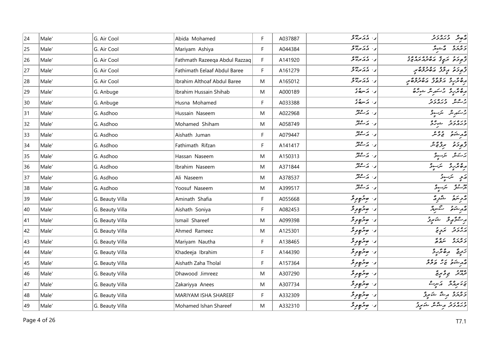| 24 | Male' | G. Air Cool     | Abida Mohamed                 | $\mathsf F$ | A037887 | ي په محمد موده                                                                | أشعرش وبرورو                                                                                                                                                                                                                   |
|----|-------|-----------------|-------------------------------|-------------|---------|-------------------------------------------------------------------------------|--------------------------------------------------------------------------------------------------------------------------------------------------------------------------------------------------------------------------------|
| 25 | Male' | G. Air Cool     | Mariyam Ashiya                | F           | A044384 | ۍ مرم پر ده<br>د کرم پر <i>ب</i> ر                                            | و دره و شورگر                                                                                                                                                                                                                  |
| 26 | Male' | G. Air Cool     | Fathmath Razeeqa Abdul Razzaq | $\mathsf F$ | A141920 | ג הה ינים                                                                     |                                                                                                                                                                                                                                |
| 27 | Male' | G. Air Cool     | Fathimath Eelaaf Abdul Baree  | F           | A161279 | ז הה ינים                                                                     | ژوده پرځو مودوه پر                                                                                                                                                                                                             |
| 28 | Male' | G. Air Cool     | Ibrahim Althoaf Abdul Baree   | M           | A165012 | י הה ינים<br>ז' הה ינים ב                                                     | ە بەرە دە بەدە دەرە بەرە بەرە بەر ئەيدا بەر ئەيدا بەر ئەيدا بەر ئەيدا بەر ئەيدا بەر ئەيدا بەر ئەيدا بەر ئەيدا<br>ئايدا بەر ئەيدا بەر ئەيدا بەر ئەيدا بەر ئەيدا بەر ئەيدا بەر ئەيدا بەر ئەيدا بەر ئەيدا بەر ئەيدا بەر ئەيدا بەر |
| 29 | Male' | G. Anbuge       | Ibrahim Hussain Shihab        | M           | A000189 | $\overset{\mathcal{L}}{\mathcal{S}}$ and $\overset{\mathcal{L}}{\mathcal{S}}$ | رە ئەرو برىسى ئەر ئە                                                                                                                                                                                                           |
| 30 | Male' | G. Anbuge       | Husna Mohamed                 | F           | A033388 | $\overset{\mathcal{L}}{\mathcal{S}}$ and $\overset{\mathcal{L}}{\mathcal{S}}$ | و مشر در در د                                                                                                                                                                                                                  |
| 31 | Male' | G. Asdhoo       | Hussain Naseem                | ${\sf M}$   | A022968 | ی کر شدهر                                                                     | چەسەر شەر يېتى بۇ ئاستان ئىستان ئىش                                                                                                                                                                                            |
| 32 | Male' | G. Asdhoo       | Mohamed Shiham                | ${\sf M}$   | A058749 | ر به کرده<br>د امرک                                                           | ورەر دىرى<br><i>وبەم</i> وتر شە <i>رگ</i> ۇ                                                                                                                                                                                    |
| 33 | Male' | G. Asdhoo       | Aishath Juman                 | F           | A079447 | ی کر شدهر                                                                     | أمار مشكاة المتحافي                                                                                                                                                                                                            |
| 34 | Male' | G. Asdhoo       | Fathimath Rifzan              | F           | A141417 | ی کر شده دو                                                                   | توجدة بروتمار                                                                                                                                                                                                                  |
| 35 | Male' | G. Asdhoo       | Hassan Naseem                 | ${\sf M}$   | A150313 | ی که کره دو                                                                   | ىزىكىش بىرىنىدۇ                                                                                                                                                                                                                |
| 36 | Male' | G. Asdhoo       | Ibrahim Naseem                | M           | A371844 | ی که کره دو                                                                   | رەنزىرو ترىنو                                                                                                                                                                                                                  |
| 37 | Male' | G. Asdhoo       | Ali Naseem                    | ${\sf M}$   | A378537 | ی پر گھرود                                                                    | أريمو الترسور                                                                                                                                                                                                                  |
| 38 | Male' | G. Asdhoo       | Yoosuf Naseem                 | ${\sf M}$   | A399517 | ر به کرده<br>د امرک                                                           | اژ جو سربو د                                                                                                                                                                                                                   |
| 39 | Male' | G. Beauty Villa | Aminath Shafia                | F           | A055668 | ی صرفی موث                                                                    | مەرىتى شەرق                                                                                                                                                                                                                    |
| 40 | Male' | G. Beauty Villa | Aishath Soniya                | F           | A082453 | ر<br> د ورهور محمد                                                            | أقرم شؤو المستوسرة                                                                                                                                                                                                             |
| 41 | Male' | G. Beauty Villa | Ismail Shareef                | M           | A099398 | .<br>د موره ورځ                                                               | رەي ھەم ئەبرۇ<br>مەشقەر                                                                                                                                                                                                        |
| 42 | Male' | G. Beauty Villa | Ahmed Rameez                  | M           | A125301 | .<br>د په هر چورځ                                                             | بر ه بر د<br>م <i>.بر</i> و تر<br>بحرجرة                                                                                                                                                                                       |
| 43 | Male' | G. Beauty Villa | Mariyam Nautha                | $\mathsf F$ | A138465 | ی صرف عومته                                                                   | ىرە بە<br>سرچ <sub>ى</sub> تى<br>ر ه ر ه<br><del>ر</del> بربر ژ                                                                                                                                                                |
| 44 | Male' | G. Beauty Villa | Khadeeja Ibrahim              | $\mathsf F$ | A144390 | ر ورموږ ځ                                                                     | زَ بِرِيعٌ مِنْ مُرْرِدْ                                                                                                                                                                                                       |
| 45 | Male' | G. Beauty Villa | Aishath Zaha Tholal           | F           | A157364 | ی صرفی موث                                                                    |                                                                                                                                                                                                                                |
| 46 | Male' | G. Beauty Villa | Dhawood Jimreez               | ${\sf M}$   | A307290 | ی صرفی موثر                                                                   | ودود و و ده<br>مردمر و و برج                                                                                                                                                                                                   |
| 47 | Male' | G. Beauty Villa | Zakariyya Anees               | M           | A307734 | د و مربور ځه<br>ر                                                             | ى ئىم بىر مەكتەر ئىس ب                                                                                                                                                                                                         |
| 48 | Male' | G. Beauty Villa | MARIYAM ISHA SHAREEF          | F           | A332309 | ، موره موقر                                                                   | ومهرو رئے خبرو                                                                                                                                                                                                                 |
| 49 | Male' | G. Beauty Villa | Mohamed Ishan Shareef         | ${\sf M}$   | A332310 | <sub>ى ھ</sub> ېرتىپ بوگە                                                     | ورەرو مەشكە خىرو                                                                                                                                                                                                               |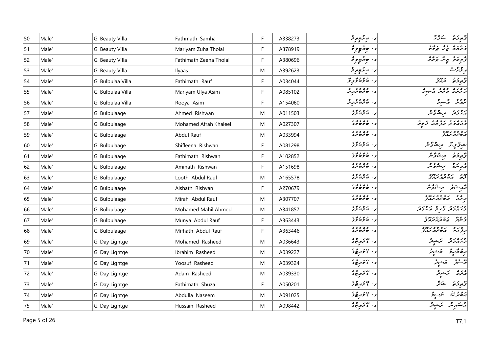| 50 | Male' | G. Beauty Villa   | Fathmath Samha         | F           | A338273 | ر و پر عوم <b>گر</b>                                                                   | و ده سره و                                              |
|----|-------|-------------------|------------------------|-------------|---------|----------------------------------------------------------------------------------------|---------------------------------------------------------|
| 51 | Male' | G. Beauty Villa   | Mariyam Zuha Tholal    | F           | A378919 | ی ویژهویژ                                                                              | ر ہ رہ ۔ دی ۔ ری و<br>د بربرو ۔ برگ جو تر               |
| 52 | Male' | G. Beauty Villa   | Fathimath Zeena Tholal | $\mathsf F$ | A380696 | ی صرفی موثر                                                                            | توجوجو بإنثر وكالحر                                     |
| 53 | Male' | G. Beauty Villa   | Ilyaas                 | M           | A392623 | ی صرفی موثر                                                                            | ارپر پڑت                                                |
| 54 | Male' | G. Bulbulaa Villa | Fathimath Rauf         | F           | A034044 | ر ه و و و و څريگر                                                                      | و دوه دوه                                               |
| 55 | Male' | G. Bulbulaa Villa | Mariyam Ulya Asim      | F           | A085102 | ر وه د و د څر                                                                          | נ סנס כסף ף.<br>כמחב הכח ה-יב                           |
| 56 | Male' | G. Bulbulaa Villa | Rooya Asim             | F           | A154060 | وه ووي.<br>ي- <b>ص</b> نو <i>ه مرگو</i> نژ                                             | $3 - 2 - 22$                                            |
| 57 | Male' | G. Bulbulaage     | Ahmed Rishwan          | ${\sf M}$   | A011503 | وه وه و.<br>د ۰ مون ور                                                                 | رەرد برشۇر                                              |
| 58 | Male' | G. Bulbulaage     | Mohamed Afrah Khaleel  | ${\sf M}$   | A027307 | وه و د پر د<br>د ۰ م <b>ن</b> من من                                                    | ورەرو رەپە ئېرو                                         |
| 59 | Male' | G. Bulbulaage     | Abdul Rauf             | M           | A033994 | وه و و د و د<br>د ۰ ه <b>نو</b> <i>ه نو</i> د                                          | ر ه د ه ر دده<br>پره د بر بر                            |
| 60 | Male' | G. Bulbulaage     | Shifleena Rishwan      | $\mathsf F$ | A081298 | وه و و و د<br>د ۱ گاه موگ                                                              | ىدۇم <sub>ۇ</sub> مۇ ب <sub>ىرىش</sub> ۇش               |
| 61 | Male' | G. Bulbulaage     | Fathimath Rishwan      | F           | A102852 | وه و دره<br>د ۰ مون و د                                                                | ۇپرۇپر برىشۇش                                           |
| 62 | Male' | G. Bulbulaage     | Aminath Rishwan        | $\mathsf F$ | A151698 | وه و د پر د<br>د ۰ م <b>ن</b> من من                                                    | أأدوسكم المراشوقانس                                     |
| 63 | Male' | G. Bulbulaage     | Looth Abdul Rauf       | ${\sf M}$   | A165578 | وه و و د و د<br>د ۰ ه <b>نو</b> <i>ه نو</i> د                                          | נכ גם כם גבבם<br>محرجى הש <sup>ב</sup> נה <i>ג</i> ה تح |
| 64 | Male' | G. Bulbulaage     | Aishath Rishvan        | F           | A270679 | وه و د پر د<br>د ۰ م <b>ن</b> من من                                                    | وگەشكە ئىم سەھەس                                        |
| 65 | Male' | G. Bulbulaage     | Mirah Abdul Rauf       | M           | A307707 | وه وه و.<br>د ۱ گلومور                                                                 | و مرد ده ده دردد و                                      |
| 66 | Male' | G. Bulbulaage     | Mohamed Mahil Ahmed    | M           | A341857 | وه وده و<br>د ۱ گلوگور                                                                 | ورەر دېمبرو رەر د                                       |
| 67 | Male' | G. Bulbulaage     | Munya Abdul Rauf       | F           | A363443 | وه ودي<br>د ۱ گلوگور                                                                   | כ ס 2 גם כס גדום<br>כיתול השינו <i>ג</i> וג             |
| 68 | Male' | G. Bulbulaage     | Mifhath Abdul Rauf     | F           | A363446 | وه ودي<br>د ۱ گلوگور                                                                   | ر ٥ ٥ ٥ ٥ ٠١٥<br>پرڪ تو پر بورو<br>  حرقر بر حر         |
| 69 | Male' | G. Day Lightge    | Mohamed Rasheed        | ${\sf M}$   | A036643 | ى مىمى ھەم<br>ئ                                                                        | ورەرو كەشەتر                                            |
| 70 | Male' | G. Day Lightge    | Ibrahim Rasheed        | M           | A039227 | ى بىيىم ۋە                                                                             | رەترىرو ترىنوتر                                         |
| 71 | Male' | G. Day Lightge    | Yoosuf Rasheed         | ${\sf M}$   | A039324 | ى ، ، ، ئوم ھى<br>ئ                                                                    | وواحروا المرتشوقر                                       |
| 72 | Male' | G. Day Lightge    | Adam Rasheed           | M           | A039330 | $\overbrace{z}^{\mathcal{O}}_{\mathcal{P}}, \overbrace{z}^{\mathcal{C}}_{\mathcal{P}}$ | أوره برشوتر                                             |
| 73 | Male' | G. Day Lightge    | Fathimath Shuza        | F           | A050201 | ى بىم ئۆم ھى<br>ئ                                                                      | وحموقه المحتفر                                          |
| 74 | Male' | G. Day Lightge    | Abdulla Naseem         | ${\sf M}$   | A091025 | 58,56                                                                                  | ەھەتراللە                                               |
| 75 | Male' | G. Day Lightge    | Hussain Rasheed        | ${\sf M}$   | A098442 | $\overbrace{z}^{\mathcal{C}}_{\mathcal{P}}, \overbrace{z}^{\mathcal{C}}_{\mathcal{P}}$ | برسكهاش الكرسوفر                                        |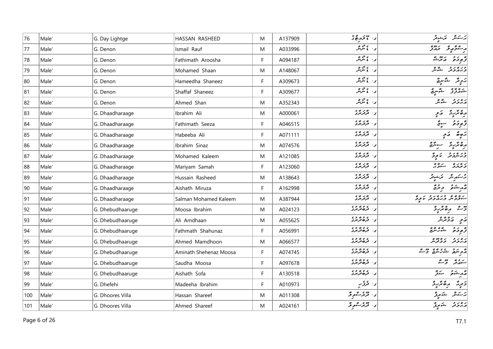| 76  | Male' | G. Day Lightge   | HASSAN RASHEED         | M           | A137909 | 58.22                                        |                                                                                                      |
|-----|-------|------------------|------------------------|-------------|---------|----------------------------------------------|------------------------------------------------------------------------------------------------------|
| 77  | Male' | G. Denon         | Ismail Rauf            | M           | A033996 | ى قىم ئەرىگە                                 | د حدو دوه                                                                                            |
| 78  | Male' | G. Denon         | Fathimath Aroosha      | $\mathsf F$ | A094187 | ى قىم ئەرىگە                                 | أو برد بردد م                                                                                        |
| 79  | Male' | G. Denon         | Mohamed Shaan          | M           | A148067 | ى كېمىشكە                                    | ورەرد ھەر<br><mark>جەم</mark> رىر ئىگەش                                                              |
| 80  | Male' | G. Denon         | Hameedha Shaneez       | $\mathsf F$ | A309673 | ی عمیر شر                                    | يَرْجِعٌ شَمَّسٍ جُمْ                                                                                |
| 81  | Male' | G. Denon         | Shaffaf Shaneez        | $\mathsf F$ | A309677 | ى كا ئاپرىش                                  | أشوروق شوسي                                                                                          |
| 82  | Male' | G. Denon         | Ahmed Shan             | M           | A352343 | ى قىم ئەيتىر                                 | رەر ئەشر                                                                                             |
| 83  | Male' | G. Dhaadharaage  | Ibrahim Ali            | ${\sf M}$   | A000061 | و . ه د و ه<br>د · فرفربود                   | رە ئۆر ئەير                                                                                          |
| 84  | Male' | G. Dhaadharaage  | Fathimath Seeza        | F           | A046515 | و د وه و<br>د ا ترترنزی                      | 5593<br>$\stackrel{\circ}{\varepsilon_\varepsilon}-$                                                 |
| 85  | Male' | G. Dhaadharaage  | Habeeba Ali            | F           | A071111 | و د وه.<br>د ۰ ترتربرد                       | $\frac{1}{2}$ $\frac{1}{2}$ $\frac{1}{2}$ $\frac{1}{2}$ $\frac{1}{2}$                                |
| 86  | Male' | G. Dhaadharaage  | Ibrahim Sinaz          | M           | A074576 | و د و و و<br>د · ترترنزی                     | سەمئى                                                                                                |
| 87  | Male' | G. Dhaadharaaqe  | Mohamed Kaleem         | M           | A121085 | و د بوده و<br>و · فرفربود                    | ورورو تأجده                                                                                          |
| 88  | Male' | G. Dhaadharaage  | Mariyam Samah          | F           | A123060 | و د و و و<br>د ۰ ترتربری                     | ره ره دره و                                                                                          |
| 89  | Male' | G. Dhaadharaage  | Hussain Rasheed        | M           | A138643 | و . ه د و ه .<br>و . مگرمگری                 | رحم مرش الكرجومر                                                                                     |
| 90  | Male' | G. Dhaadharaage  | Aishath Miruza         | F           | A162998 | و د وه و.<br>د - ترتربری                     |                                                                                                      |
| 91  | Male' | G. Dhaadharaage  | Salman Mohamed Kaleem  | M           | A387944 | و د وه و<br>د ۰ ترتربرد                      | ر <u>ده ده دره رو</u> رو<br>سروژش دبر دونر کامپر                                                     |
| 92  | Male' | G. Dhebudhaaruge | Moosa Ibrahim          | M           | A024123 | ے وی وے<br>ی- ترجے تربمری                    | لرقم مصركر                                                                                           |
| 93  | Male' | G. Dhebudhaaruge | Ali Amdhaan            | M           | A055625 | ح و د و د<br>و ۰ تر <i>ه تر بر</i> ی         | أەيد مەدەپى                                                                                          |
| 94  | Male' | G. Dhebudhaaruge | Fathmath Shahunaz      | F           | A056991 | ح و د و د<br>و ۰ تر <i>ه تر بر</i> ی         | شەر بىرى<br>شەر بىرى<br>ا تژ <sub>م</sub> وخر و                                                      |
| 95  | Male' | G. Dhebudhaaruge | Ahmed Mamdhoon         | ${\sf M}$   | A066577 | ے وہ وے<br>یہ فر <i>ھ فر</i> مزی             | קפק כ- קפרקים<br>הקבת בכנתית                                                                         |
| 96  | Male' | G. Dhebudhaaruge | Aminath Shehenaz Moosa | $\mathsf F$ | A074745 | ے وی وے<br>ی ترج <i>ہ تر</i> تری             | محمد من الله عليه والله المحمد المحمد المحمد المحمد المحمد المحمد المحمد المحمد الله من الله الله ال |
| 97  | Male' | G. Dhebudhaaruge | Saudha Moosa           | $\mathsf F$ | A097678 | ے و دے و ے<br>ی - تر <i>ح</i> تر <i>بر</i> ی | سەدەر جەمئە                                                                                          |
| 98  | Male' | G. Dhebudhaaruge | Aishath Sofa           | F           | A130518 | ے وی وے<br>ی - تر <i>ھ تر</i> پری            | ۇرمىنى بىر                                                                                           |
| 99  | Male' | G. Dhefehi       | Madeeha Ibrahim        | F           | A010973 | ى بە تۈگۈپ                                   | دَبِيدٌ بِهِ صَحِّرٍ وَ                                                                              |
| 100 | Male' | G. Dhoores Villa | Hassan Shareef         | M           | A011308 | د ۱۰ مربر شورتخ                              | بركتش خميرو                                                                                          |
| 101 | Male' | G. Dhoores Villa | Ahmed Shareef          | M           | A024161 | ى بەر تەرىپ ھەر ئۇ                           | برەر د شەيرو                                                                                         |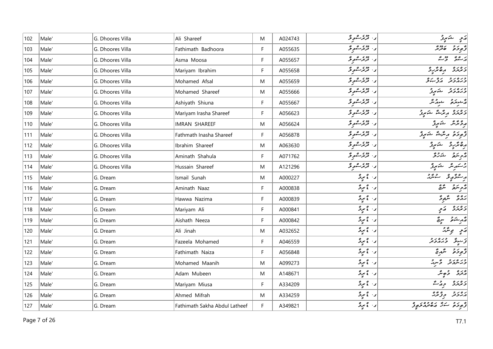| 102 | Male' | G. Dhoores Villa | Ali Shareef                   | M  | A024743 | <sub>ى</sub> بەرتىرىسى <sub>مو</sub> مۇ                                                                | ړې خوړنی<br>د په مور                          |
|-----|-------|------------------|-------------------------------|----|---------|--------------------------------------------------------------------------------------------------------|-----------------------------------------------|
| 103 | Male' | G. Dhoores Villa | Fathimath Badhoora            | F  | A055635 | ى بەر ئۇرىسىمو ئۇ                                                                                      | و څې پر د<br>ر دو پر<br>ن تر پر               |
| 104 | Male' | G. Dhoores Villa | Asma Moosa                    | F  | A055657 | ى پەرتكەسكى ئى                                                                                         | ره پی<br>دو مح                                |
| 105 | Male' | G. Dhoores Villa | Mariyam Ibrahim               | F  | A055658 | ى بەر ئەر ھەر ئۇ                                                                                       | ر ه ر ه<br><del>ر</del> بربرگر<br>ەھ ئۈر ۋ    |
| 106 | Male' | G. Dhoores Villa | Mohamed Afsal                 | M  | A055659 | ى پەرتىرىسىمونۇ                                                                                        | ېر ژېر کر<br>و ر ه ر د<br>د بر پر تر          |
| 107 | Male' | G. Dhoores Villa | Mohamed Shareef               | M  | A055666 | ى بەر ئۇرىسىمو ئۇ                                                                                      | ورەرو شەرو                                    |
| 108 | Male' | G. Dhoores Villa | Ashiyath Shiuna               | F  | A055667 | ى قرىگرىش <sub>مو</sub> مۇ                                                                             | ۇشوركوڭ شورگىنگر                              |
| 109 | Male' | G. Dhoores Villa | Mariyam Irasha Shareef        | F  | A056623 | ى بەر ئۇرىسىمو ئۇ                                                                                      | دەرە رېژىش خىرۇ                               |
| 110 | Male' | G. Dhoores Villa | <b>IMRAN SHAREEF</b>          | M  | A056624 | - دوي ه ه ع                                                                                            | ەر ئەيرو                                      |
| 111 | Male' | G. Dhoores Villa | Fathmath Inasha Shareef       | F  | A056878 | ى بەر ئۇرىسىمو ئۇ                                                                                      | ۇۋۇق رىترىش خىرو                              |
| 112 | Male' | G. Dhoores Villa | Ibrahim Shareef               | M  | A063630 | ى بەر ئەر شەھ بۇ                                                                                       | ەھترىرى ش <i>ېر</i> ۇ                         |
| 113 | Male' | G. Dhoores Villa | Aminath Shahula               | F. | A071762 | ى بەر ئەر ھەر ئۇ                                                                                       | $\frac{1}{2}$                                 |
| 114 | Male' | G. Dhoores Villa | Hussain Shareef               | M  | A121296 | ى بەر تۈرگىنى ئە                                                                                       | چرىكىرىنى ئىككىنىدۇ                           |
| 115 | Male' | G. Dream         | Ismail Sunah                  | M  | A000227 | $\overset{\circ}{\mathscr{F}}\overset{\circ}{\mathscr{F}}\overset{\circ}{\mathscr{F}}\cdot\mathscr{F}$ | وصفح وهم والمحمد                              |
| 116 | Male' | G. Dream         | Aminath Naaz                  | F  | A000838 | ی ، ع مورمی<br>ت                                                                                       | أرمره<br>سرَّج                                |
| 117 | Male' | G. Dream         | Hawwa Nazima                  | F  | A000839 | $\frac{1}{2}$ $\frac{1}{2}$ $\frac{1}{2}$ $\frac{1}{2}$ $\frac{1}{2}$                                  | برەپچ<br>سَّغِرِ رَّ                          |
| 118 | Male' | G. Dream         | Mariyam Ali                   | F  | A000841 | ى ، ؟ مورمى<br>ئ                                                                                       | ئەنگەر ئ<br>رځمنو                             |
| 119 | Male' | G. Dream         | Aishath Neeza                 | F  | A000842 | ى ، ؟ مورم                                                                                             | و محمد منسكوم<br>مصر<br>سرچٌ                  |
| 120 | Male' | G. Dream         | Ali Jinah                     | M  | A032652 | $\frac{1}{2}$ $\frac{1}{2}$ $\frac{1}{2}$ $\frac{1}{2}$                                                | ړې <sub>مح</sub> رم                           |
| 121 | Male' | G. Dream         | Fazeela Mohamed               | F  | A046559 | $\begin{array}{c} 0 \\ 2 \times 2 \\ 3 \end{array} \cdot S$                                            | ۇخۇ<br>و ر ه ر د<br>تر پر تر تر               |
| 122 | Male' | G. Dream         | Fathimath Naiza               | F  | A056848 | ى ، ؟ مورمى<br>ئ                                                                                       | توجوخو شريح                                   |
| 123 | Male' | G. Dream         | Mohamed Maanih                | M  | A099273 | ى ، ؟ مورمى<br>ئ                                                                                       | و ر ه ر د<br>و پر سر <del>و</del> تر<br>ۇ سرچ |
| 124 | Male' | G. Dream         | Adam Mubeen                   | M  | A148671 | ى ، ؟ مورم                                                                                             | أرمره وصر                                     |
| 125 | Male' | G. Dream         | Mariyam Miusa                 | F. | A334209 | ى ، ؟ مورمى<br>ئ                                                                                       | ر ه بر ه<br>د <del>ب</del> ربر د<br>جەرجىگە   |
| 126 | Male' | G. Dream         | Ahmed Mifrah                  | M  | A334259 | ى ، ؟ مورمى<br>ئ                                                                                       | برەر دوپر                                     |
| 127 | Male' | G. Dream         | Fathimath Sakha Abdul Latheef | F  | A349821 | ى ، ؟ مورد                                                                                             | كم وحدة الملاحق وه وحده وجدو                  |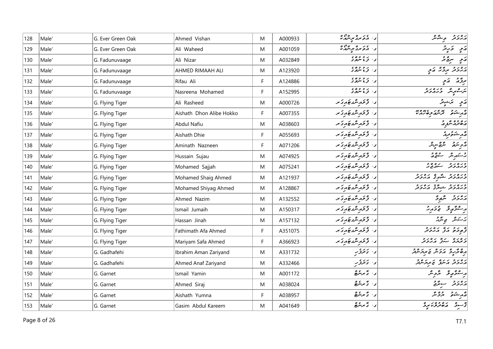| 128 | Male' | G. Ever Green Oak | Ahmed Vishan             | M  | A000933 | ) د . د کار د ه د ۵ ده و     | أربروتر ويقمر                                              |
|-----|-------|-------------------|--------------------------|----|---------|------------------------------|------------------------------------------------------------|
| 129 | Male' | G. Ever Green Oak | Ali Waheed               | M  | A001059 | ى مىمى ئەرەبەرە<br>ئ         | ړې وړېږ<br>مړينې                                           |
| 130 | Male' | G. Fadunuvaage    | Ali Nizar                | M  | A032849 | ى . ئى 3 سرە ئى              |                                                            |
| 131 | Male' | G. Fadunuvaage    | AHMED RIMAAH ALI         | M  | A123920 | ر و و ده و<br>د ۰ تو ٤ سرچ و | ر و د د مردم د کام                                         |
| 132 | Male' | G. Fadunuvaage    | Rifau Ali                | F  | A124886 | ر و و ده و<br>د ۰ تو ٤ سرچ و | بروژه اړم                                                  |
| 133 | Male' | G. Fadunuvaage    | Nasreena Mohamed         | F  | A152995 | ر د و وه د<br>د ۰ تو ٤ سرچ د | ر قرید می در ۲۵ در د                                       |
| 134 | Male' | G. Flying Tiger   | Ali Rasheed              | M  | A000726 | ى ئۇ ئۇم شىم قويم تە         | أراسي الكركسوفر                                            |
| 135 | Male' | G. Flying Tiger   | Aishath Dhon Alibe Hokko | F. | A007355 | ى ئۇ ئۇر شىم قويم ئە         | د در در در ۲۰۶۲ در ۲۰<br>مگر شوی تر شهر محدود ۲            |
| 136 | Male' | G. Flying Tiger   | Abdul Nafiu              | M  | A038603 | ى ئۇ ئۇر شىم قەرىمى          | ړه وه عر                                                   |
| 137 | Male' | G. Flying Tiger   | Aishath Dhie             | F  | A055693 | ى ئۇ قرىر شىم قويم تەس       | و گهر ڪو آهي تعري <sup>م</sup><br>حرام                     |
| 138 | Male' | G. Flying Tiger   | Aminath Nazneen          | F. | A071206 | ى ئۇ ئۇم شىم قۇم ئ           | ر<br>أو سَمَعْ مُسَمَّى سِرِيْر                            |
| 139 | Male' | G. Flying Tiger   | Hussain Sujau            | M  | A074925 | ى ئۇ ئۇر شىم قويم ئە         | جر شکه ره شده به در محصول به ک                             |
| 140 | Male' | G. Flying Tiger   | Mohamed Sajjah           | M  | A075241 | ى بى ئۇم ئىرى ئەرىكىر        | وره رو در رو و<br><i>و بر</i> در در سوړنۍ بر               |
| 141 | Male' | G. Flying Tiger   | Mohamed Shaig Ahmed      | M  | A121937 | ى ئۇ قرىر شىم قويم تەتىر     | ورەرو شەرە مەدو                                            |
| 142 | Male' | G. Flying Tiger   | Mohamed Shiyag Ahmed     | M  | A128867 | ى ئۇ ئۇم شىم قۇم ئ           | ورەر د مەدد رەر د<br><i>دېرم</i> وتر شە <i>برق مەد</i> وتر |
| 143 | Male' | G. Flying Tiger   | Ahmed Nazim              | M  | A132552 | ى ئۇ ئۇر شىم قەرىمى          | رەر ئەھرى                                                  |
| 144 | Male' | G. Flying Tiger   | Ismail Jumaih            | M  | A150317 | ى بىر ئۇ ئەسىر ئەسىر ئەس     | وستوصفح وتحدثه                                             |
| 145 | Male' | G. Flying Tiger   | Hassan Jinah             | M  | A157132 | ى ئۇ ئۇم شىم قوم ئەس         | يَرْسَدُ مِنْ مِرَّرْ                                      |
| 146 | Male' | G. Flying Tiger   | Fathimath Afa Ahmed      | F  | A351075 | ئ زېمر شموڪورئ               | و دو ره ره دورو                                            |
| 147 | Male' | G. Flying Tiger   | Mariyam Safa Ahmed       | F  | A366923 | ى ئۇ ئۇر شىم قويم ئە         | נסנס נדי נסנד.<br>במחבר הוצא המכנת                         |
| 148 | Male' | G. Gadhafehi      | Ibrahim Aman Zariyand    | M  | A331732 | ى كەترۇپ                     | ת ביציב הכית המתיית                                        |
| 149 | Male' | G. Gadhafehi      | Ahmed Anaf Zariyand      | M  | A332466 | ى كەترۇپ                     | ה סיק ה הקם ה מקור סיק.<br>המכונה ה יינוצה ה מקור יינוליק  |
| 150 | Male' | G. Garnet         | Ismail Yamin             | M  | A001172 | ى گەرگى بىر                  | مرجوح محرمه                                                |
| 151 | Male' | G. Garnet         | Ahmed Siraj              | M  | A038024 | ى گەرىكى ھ                   | ره ر و مسور در در د                                        |
| 152 | Male' | G. Garnet         | Aishath Yumna            | F. | A038957 | ى گەرگى ھ                    | مەر شەھ بىرى ش                                             |
| 153 | Male' | G. Garnet         | Gasim Abdul Kareem       | M  | A041649 | ى بە ئۇ بىرىنىڭج             | تحسوم مەمەمەم                                              |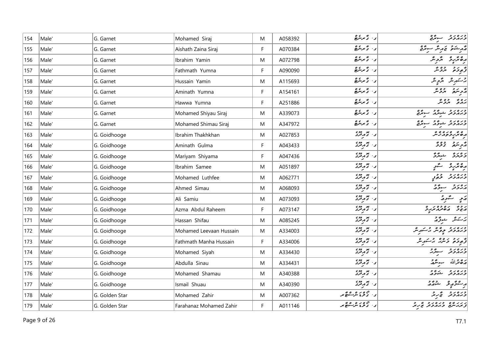| 154 | Male' | G. Garnet      | Mohamed Siraj           | M  | A058392 | ى گەرىكى                              | ورەرو سىرتى                                |
|-----|-------|----------------|-------------------------|----|---------|---------------------------------------|--------------------------------------------|
| 155 | Male' | G. Garnet      | Aishath Zaina Siraj     | F  | A070384 | ى گەرگۈ                               | ۇرىشقى تەرىتر سوترقى                       |
| 156 | Male' | G. Garnet      | Ibrahim Yamin           | M  | A072798 | ى بە ئەس كەن ھ                        |                                            |
| 157 | Male' | G. Garnet      | Fathmath Yumna          | F  | A090090 | ى بە ئۇ بىر شرىقى                     | اقرارود<br>پرویٹر                          |
| 158 | Male' | G. Garnet      | Hussain Yamin           | M  | A115693 | ى بە ئۇ بىر شرىقى                     | يزعتبر شروعها                              |
| 159 | Male' | G. Garnet      | Aminath Yumna           | F. | A154161 | ى گەرگى ھ                             | ړٌ پر په ده پر                             |
| 160 | Male' | G. Garnet      | Hawwa Yumna             | F  | A251886 | ى گەرىكر                              | ره وه د                                    |
| 161 | Male' | G. Garnet      | Mohamed Shiyau Siraj    | M  | A339073 | ى بە ئۇ بىر شرىقى                     | ورەرو شەھە سەنگەھ                          |
| 162 | Male' | G. Garnet      | Mohamed Shimau Siraj    | M  | A347972 | ى گەرگۈ                               | ورەرو جوڈا سوگر                            |
| 163 | Male' | G. Goidhooge   | Ibrahim Thakhkhan       | M  | A027853 | ر به دور<br>د که دنرو                 | ەھ ئەسرە ئەرە ئەنگە                        |
| 164 | Male' | G. Goidhooge   | Aminath Gulma           | F  | A043433 | پر دوء<br>ي- گهرفري                   | أأدحر المتمرج والمحمدة                     |
| 165 | Male' | G. Goidhooge   | Mariyam Shiyama         | F  | A047436 | پر دوء<br>ي- گەرلىرى                  | ر ه ر ه<br><del>د</del> بربرگر<br>شەدگر گر |
| 166 | Male' | G. Goidhooge   | Ibrahim Samee           | M  | A051897 | ر به دوه<br>د که دندو                 | ە ھەترىر <sup>ە</sup><br>رمجمو             |
| 167 | Male' | G. Goidhooge   | Mohamed Luthfee         | M  | A062771 | پر دوء<br>ي- توم فرق                  | و ره ر و<br>د بر د تر تر<br>ترويحي         |
| 168 | Male' | G. Goidhooge   | Ahmed Simau             | M  | A068093 | پر دوء<br>ي- گهرفري                   | גם ג' ביברי<br>הגבת היברי                  |
| 169 | Male' | G. Goidhooge   | Ali Samiu               | M  | A073093 | ر سو دور<br>د که دور                  | ړې شوه                                     |
| 170 | Male' | G. Goidhooge   | Azma Abdul Raheem       | F  | A073147 | ر به دوه<br>د که دندو                 | 1010000 000                                |
| 171 | Male' | G. Goidhooge   | Hassan Shifau           | M  | A085245 | ر به دور<br>د که دنده                 | پر سکر شوگر پر                             |
| 172 | Male' | G. Goidhooge   | Mohamed Leevaan Hussain | M  | A334003 | ر به دور<br>د که ترتری                | ورەرو پەء پاكىر                            |
| 173 | Male' | G. Goidhooge   | Fathmath Manha Hussain  | F  | A334006 | د . هم دوه<br>د . د مرمرد             | و دو ده و در م                             |
| 174 | Male' | G. Goidhooge   | Mohamed Siyah           | M  | A334430 | پر دوء<br>ی- تخم فوتری                | כנסני הייתר.<br><i>בג</i> ובני הייתר       |
| 175 | Male' | G. Goidhooge   | Abdulla Sinau           | M  | A334431 | پر دور<br>د که ترترد                  | رەقراللە جەمعى                             |
| 176 | Male' | G. Goidhooge   | Mohamed Shamau          | M  | A340388 | پر دوء<br>ي- توم تور                  | وره رو در وو<br>تربر پروتر                 |
| 177 | Male' | G. Goidhooge   | Ismail Shuau            | M  | A340390 | ید به دوه<br>ی تخم فوری               | ر شۇر ئىسمە                                |
| 178 | Male' | G. Golden Star | Mohamed Zahir           | M  | A007362 | ، مى دەرەرەتچە<br>ئەزىرى ئارىسىۋە ئىر |                                            |
| 179 | Male' | G. Golden Star | Farahanaz Mohamed Zahir | F  | A011146 | - جوړې ه موضح پر                      | تريريده ورورو عريز                         |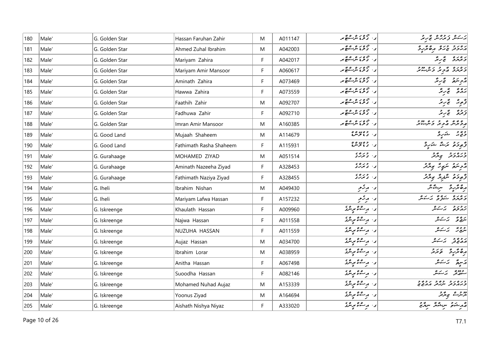| 180 | Male' | G. Golden Star | Hassan Faruhan Zahir    | M           | A011147 | ى بىر بىر بىر شەھىر                                                   | برسەسى ئەجرىمىلىر ئاپرىتى                                          |
|-----|-------|----------------|-------------------------|-------------|---------|-----------------------------------------------------------------------|--------------------------------------------------------------------|
| 181 | Male' | G. Golden Star | Ahmed Zuhal Ibrahim     | M           | A042003 | ى ئەم ئەھرىشى ئەر                                                     | גפנד הנב תפתיב                                                     |
| 182 | Male' | G. Golden Star | Mariyam Zahira          | F           | A042017 | ى بىر ئەرەپ ئەھمىر                                                    | رەرە ئەرت                                                          |
| 183 | Male' | G. Golden Star | Mariyam Amir Mansoor    | F           | A060617 | ە مەم ھەم ھەم<br>ئەر ئەخرى مىر <mark>س</mark> ىر ھ <mark>ە</mark> ئىر | ג סגם בי בי גם חבב<br>בינו <i>ניב</i> הביני ביני <del>יני</del> ני |
| 184 | Male' | G. Golden Star | Aminath Zahira          | $\mathsf F$ | A073469 | ى ئەممۇر ھەشقىمە                                                      | أزمر المجماعية                                                     |
| 185 | Male' | G. Golden Star | Hawwa Zahira            | F           | A073559 | ە مەم بەر مەھ<br>ئەر كە <b>م ئەس ئى</b> ر                             | رە ئەرىر                                                           |
| 186 | Male' | G. Golden Star | Faathih Zahir           | M           | A092707 | ى بىرە ئەھەتتى بىر                                                    | ۇھەيشە ئەسرىتى                                                     |
| 187 | Male' | G. Golden Star | Fadhuwa Zahir           | F           | A092710 | ى بىرە ئەھرىشى ئىر                                                    | كرويج محج ربر                                                      |
| 188 | Male' | G. Golden Star | Imran Amir Mansoor      | M           | A160385 | ى بىر ئۇي بىر شەھىر                                                   | ם מים היי יודי מים יחד.<br>תכמית היכית בית היית                    |
| 189 | Male' | G. Good Land   | Mujaah Shaheem          | M           | A114679 | وه ده ده ه<br>د ۲ و د عرس                                             | وقع شرو                                                            |
| 190 | Male' | G. Good Land   | Fathimath Rasha Shaheem | F           | A115931 | وه ده ده ه<br>د ۲ و د عرصو                                            | ژُودَهِ نَمْشٌ ځَنړو                                               |
| 191 | Male' | G. Gurahaage   | MOHAMED ZIYAD           | M           | A051514 | و د بود.<br>د ۱ کامرگری                                               | ورەر د<br><i>دېرم</i> وتر بې گرېز                                  |
| 192 | Male' | G. Gurahaage   | Aminath Nazeeha Ziyad   | F.          | A328453 | و د وري<br>د ۱ کامرگ                                                  | أأدوسكم الكبي أأا المجارات                                         |
| 193 | Male' | G. Gurahaage   | Fathimath Naziya Ziyad  | F           | A328455 | و د بوده<br>د ۱ کامرگری                                               | ژوده شره پره                                                       |
| 194 | Male' | G. Iheli       | Ibrahim Nishan          | M           | A049430 | ى مەرجى                                                               | رەترىرو سىقىر                                                      |
| 195 | Male' | G. Iheli       | Mariyam Lafwa Hassan    | $\mathsf F$ | A157232 | ی ا مرکبو                                                             | رەرە بەھ بەيد                                                      |
| 196 | Male' | G. Iskreenge   | Khaulath Hassan         | F           | A009960 | ى پەر شەھ بېرىشمۇ                                                     | زەرە بەسەر                                                         |
| 197 | Male' | G. Iskreenge   | Najwa Hassan            | F           | A011558 | ى بەر شەنۇبىرىدى                                                      | لترقي في كالكامل                                                   |
| 198 | Male' | G. Iskreenge   | NUZUHA HASSAN           | F           | A011559 | ى پەر شەھ بېرىشكە                                                     | لترج في الأسكانس                                                   |
| 199 | Male' | G. Iskreenge   | Aujaz Hassan            | M           | A034700 | ى مەسىم ئەرەبى                                                        | روم پر کامل                                                        |
| 200 | Male' | G. Iskreenge   | Ibrahim Lorar           | M           | A038959 | ى برىشتىپىتىگە                                                        | وەشرىرى ئىمىر                                                      |
| 201 | Male' | G. Iskreenge   | Anitha Hassan           | F           | A067498 | ی پر شره مرسی                                                         | مَسِعٌ يَسَتَسَ                                                    |
| 202 | Male' | G. Iskreenge   | Suoodha Hassan          | F.          | A082146 | ى پەرسىم ئەيدىكى                                                      | ے پر پر کر کر کر کر                                                |
| 203 | Male' | G. Iskreenge   | Mohamed Nuhad Aujaz     | M           | A153339 | ی پر شور میرس                                                         | כנסג כני כני הכני<br>כגובת יינגת ויונים                            |
| 204 | Male' | G. Iskreenge   | Yoonus Ziyad            | M           | A164694 | <sub>ى م</sub> رىشت <sub>ى تېرىپتىكى</sub>                            | ו <i>רבר</i> באת ה                                                 |
| 205 | Male' | G. Iskreenge   | Aishath Nishya Niyaz    | F           | A333020 | <sub>ى م</sub> رىشن <sub>ى</sub> پېرىتىگە                             | أأمر شكاكم المراشور المركز                                         |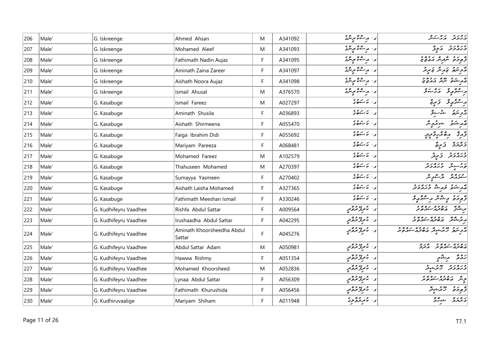| 206 | Male' | G. Iskreenge          | Ahmed Ahsan                          | M         | A341092 | <sub>ى م</sub> رسىم بېرىدى<br>  <sub>ى</sub> م                              | رەرد رەپ                                                              |
|-----|-------|-----------------------|--------------------------------------|-----------|---------|-----------------------------------------------------------------------------|-----------------------------------------------------------------------|
| 207 | Male' | G. Iskreenge          | Mohamed Aleef                        | ${\sf M}$ | A341093 | ی پر شوند میں میں                                                           | دره رو در کردگر                                                       |
| 208 | Male' | G. Iskreenge          | Fathimath Nadin Aujaz                | F         | A341095 | <mark>ی پر شرد می</mark> رمند                                               | و محمد المعالم المعدد المركز                                          |
| 209 | Male' | G. Iskreenge          | Aminath Zaina Zareer                 | F         | A341097 | ی پر شور موسوی                                                              | أأديتم كالمشتم المحامية                                               |
| 210 | Male' | G. Iskreenge          | Aishath Noora Aujaz                  | F         | A341098 | ى مەسىم ئەسرىدى                                                             |                                                                       |
| 211 | Male' | G. Iskreenge          | Ismail Ahusal                        | M         | A376570 | ئ مەسىئى ئەسرىتىرى                                                          | ر عۇرپۇ كەربو                                                         |
| 212 | Male' | G. Kasabuge           | Ismail Fareez                        | M         | A027297 | $50 - 6.5$                                                                  | وستوصفر وسيمج                                                         |
| 213 | Male' | G. Kasabuge           | Aminath Shusila                      | F         | A036893 | ى ئەسكەھ ئ                                                                  | أوحر سنمو المفتح المحر                                                |
| 214 | Male' | G. Kasabuge           | Aishath Shirmeena                    | F         | A055470 | ى ئەسكەھ ئ                                                                  | ۇرمۇق موقرى ئە                                                        |
| 215 | Male' | G. Kasabuge           | Faiga Ibrahim Didi                   | F         | A055692 | ى ئەسكەھ ئ                                                                  |                                                                       |
| 216 | Male' | G. Kasabuge           | Mariyam Pareeza                      | F         | A068481 | ى ئەسكەھ ئ                                                                  | رەرە پەيگى                                                            |
| 217 | Male' | G. Kasabuge           | Mohamed Fareez                       | ${\sf M}$ | A102579 | ى ئەسكەتى                                                                   | ورەرو كەيد                                                            |
| 218 | Male' | G. Kasabuge           | Thahuseen Mohamed                    | ${\sf M}$ | A270397 | ى ئەسكەھ ئ                                                                  | أبرو بيشر وبره برو                                                    |
| 219 | Male' | G. Kasabuge           | Sumayya Yasmeen                      | F         | A270402 | ى ئەسكەھ ئ                                                                  | روره ومسره                                                            |
| 220 | Male' | G. Kasabuge           | Aishath Laisha Mohamed               | F         | A327365 | $\overbrace{300}^{\circ}$ $\overbrace{40}^{\circ}$ $\overbrace{50}^{\circ}$ | أثار شكاهي تحرر المحركة والمراد والمحمد                               |
| 221 | Male' | G. Kasabuge           | Fathimath Meeshan Ismail             | F         | A330246 | $50 - 7.5$                                                                  | أؤودة وبشر مستؤملا                                                    |
| 222 | Male' | G. Kudhifeyru Vaadhee | Rishfa Abdul Sattar                  | F         | A009564 | <sub>ى</sub> ، س <sub>ى</sub> تورىخ تورىخ تور                               | ە ئەسىرە دەرەرە دە<br>ئىرىشىق ھەھەر ھەسەم ئەس                         |
| 223 | Male' | G. Kudhifeyru Vaadhee | Irushaadha Abdul Sattar              | F         | A042295 | <sub>ى</sub> ، ئ <sub>ە</sub> تورىج چوڭ تور                                 | د ده ده ده ده ده دود د<br>د برخونز د ه ترد سوره بر                    |
| 224 | Male' | G. Kudhifeyru Vaadhee | Aminath Khoorsheedha Abdul<br>Sattar | F         | A045276 | <sub>ى</sub> ، س <sub>ى</sub> تورى تىرىھ تىر                                | ه در دو در در دور ده در در دارد.<br>از چربه در پرشونگر ایران در ایران |
| 225 | Male' | G. Kudhifeyru Vaadhee | Abdul Sattar Adam                    | ${\sf M}$ | A050981 | ، ئاتېرتى ئېرەگەر<br>ئ                                                      | נסכם נסיכ בינס<br>השינה – הפינ הינכ                                   |
| 226 | Male' | G. Kudhifeyru Vaadhee | Hawwa Rishmy                         | F         | A051354 | ، د عمود مورځ مړ<br>د ۱۰ مرکز مرکز مړ                                       | پروگر سرگور                                                           |
| 227 | Male' | G. Kudhifeyru Vaadhee | Mohamed Khoorsheed                   | ${\sf M}$ | A052836 | ، ئاتېرتى تېرىق تېر<br>ئ                                                    | وره رو دو دور<br>وبردونر گرمزشونر                                     |
| 228 | Male' | G. Kudhifeyru Vaadhee | Lynaa Abdul Sattar                   | F         | A056309 | <sub>ى</sub> ، س <sub>ە</sub> تورىخ چېرىگە توپە                             | وش مەھىرم سىمدىرى                                                     |
| 229 | Male' | G. Kudhifeyru Vaadhee | Fathimath Khurushida                 | F         | A056456 | ، ئامرۇ ئاھ<br>ئ                                                            | أؤجروه ودوسوش                                                         |
| 230 | Male' | G. Kudhiruvaalige     | Mariyam Shiham                       | F         | A011948 | ى ئەترىر ۋىچە ئ                                                             | رەرە شەرق                                                             |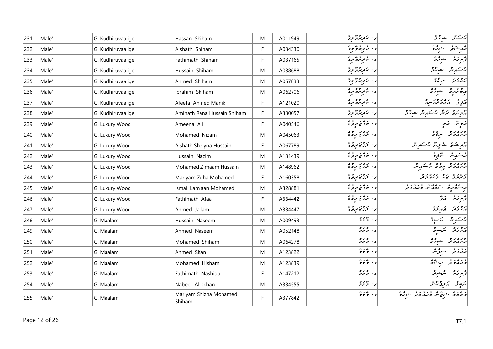| 231 | Male' | G. Kudhiruvaalige | Hassan Shiham                    | M  | A011949 | ء ، غږ پرځ پرځ<br>                                                                                                                                                                                                                                                                                                             | ىر كەش ھەرگە                                    |
|-----|-------|-------------------|----------------------------------|----|---------|--------------------------------------------------------------------------------------------------------------------------------------------------------------------------------------------------------------------------------------------------------------------------------------------------------------------------------|-------------------------------------------------|
| 232 | Male' | G. Kudhiruvaalige | Aishath Shiham                   | F  | A034330 | ى ، ئەترىر ئەترى                                                                                                                                                                                                                                                                                                               | شەرگە ۋ<br>ر<br>د که د شکوی                     |
| 233 | Male' | G. Kudhiruvaalige | Fathimath Shiham                 | F  | A037165 | ى ئەترىر ئەمرىكى<br>ئ                                                                                                                                                                                                                                                                                                          | ے پڑو<br>ر<br>ۇ ب <sub>و</sub> ر د              |
| 234 | Male' | G. Kudhiruvaalige | Hussain Shiham                   | M  | A038688 | ى ئوپرۇپرۇ                                                                                                                                                                                                                                                                                                                     | جر <u>س</u> ے <sub>مر</sub> مثر<br>ے رگرو       |
| 235 | Male' | G. Kudhiruvaalige | Ahmed Shiham                     | M  | A057833 | ى ئەترىر ۋېچە                                                                                                                                                                                                                                                                                                                  | رەرد جەر                                        |
| 236 | Male' | G. Kudhiruvaalige | Ibrahim Shiham                   | M  | A062706 | ى ئومرىمۇمۇمۇ                                                                                                                                                                                                                                                                                                                  | أرەنزىر ئىرز                                    |
| 237 | Male' | G. Kudhiruvaalige | Afeefa Ahmed Manik               | F. | A121020 | ى ئەر ئەڭ ئوق                                                                                                                                                                                                                                                                                                                  | ג 2 ב 2 ב ייגון<br>ג ג 3 ב 3 ב ייגון<br>مَوٍوَّ |
| 238 | Male' | G. Kudhiruvaalige | Aminath Rana Hussain Shiham      | F. | A330057 | ى ئەمرىر ئەمرى                                                                                                                                                                                                                                                                                                                 | ۇ ئەسكە ئەسىر ئەسكەر سىر ئىسىر ئە               |
| 239 | Male' | G. Luxury Wood    | Ameena Ali                       | F  | A040546 | $\begin{bmatrix} 0 & 2 & 0 & 0 \\ 2 & 2 & 2 & 3 \\ 0 & 0 & 0 & 0 \\ 0 & 0 & 0 & 0 \\ 0 & 0 & 0 & 0 \\ 0 & 0 & 0 & 0 \\ 0 & 0 & 0 & 0 \\ 0 & 0 & 0 & 0 \\ 0 & 0 & 0 & 0 \\ 0 & 0 & 0 & 0 \\ 0 & 0 & 0 & 0 \\ 0 & 0 & 0 & 0 & 0 \\ 0 & 0 & 0 & 0 & 0 \\ 0 & 0 & 0 & 0 & 0 \\ 0 & 0 & 0 & 0 & 0 \\ 0 & 0 & 0 & 0 & 0 \\ 0 & 0 & $ | أتمام في الأسمح                                 |
| 240 | Male' | G. Luxury Wood    | Mohamed Nizam                    | M  | A045063 | د ده د ده<br>د نود تا مرو ه                                                                                                                                                                                                                                                                                                    | ورەرو سۇۋ                                       |
| 241 | Male' | G. Luxury Wood    | Aishath Shelyna Hussain          | F  | A067789 | ى گەن ئەترەقى                                                                                                                                                                                                                                                                                                                  | ۇرىشكى ئىگرىگە باسكىرىك                         |
| 242 | Male' | G. Luxury Wood    | Hussain Nazim                    | M  | A131439 | ى بەرە ئەبدە ئە                                                                                                                                                                                                                                                                                                                | برسكريش لشركون                                  |
| 243 | Male' | G. Luxury Wood    | Mohamed Zimaam Hussain           | M  | A148962 | ى گەن ئەترەقى                                                                                                                                                                                                                                                                                                                  | ورەرو ي <sub>و</sub> وو برخىرىگ                 |
| 244 | Male' | G. Luxury Wood    | Mariyam Zuha Mohamed             | F  | A160358 | ى سىمى تەرەكىيە                                                                                                                                                                                                                                                                                                                | נסנס כש כנסנכ<br>כמתכ גל כנמכת                  |
| 245 | Male' | G. Luxury Wood    | Ismail Lam'aan Mohamed           | M  | A328881 | د و ده بر وه<br>د کود پخ موه و                                                                                                                                                                                                                                                                                                 | - 21012 2000 21010                              |
| 246 | Male' | G. Luxury Wood    | Fathimath Afaa                   | F  | A334442 | د ۱۵۶۰ کورو و                                                                                                                                                                                                                                                                                                                  | توجوحو المتمر                                   |
| 247 | Male' | G. Luxury Wood    | Ahmed Jailam                     | M  | A334447 | ى سىمى تەرەكىيە                                                                                                                                                                                                                                                                                                                | أرور ويرتزة                                     |
| 248 | Male' | G. Maalam         | Hussain Naseem                   | M  | A009493 | ى بە ئۇنۇل                                                                                                                                                                                                                                                                                                                     | چرىكىرىنى ئىرسوۋ                                |
| 249 | Male' | G. Maalam         | Ahmed Naseem                     | M  | A052148 | ى بەنتى بى                                                                                                                                                                                                                                                                                                                     | رەرو برسوم<br>مەرىر س                           |
| 250 | Male' | G. Maalam         | Mohamed Shiham                   | M  | A064278 | ى بەنزى                                                                                                                                                                                                                                                                                                                        | و ر ه ر و<br>تر پر تر تر<br>ے رگز و             |
| 251 | Male' | G. Maalam         | Ahmed Sifan                      | M  | A123822 | ى بە ئۇنۇل                                                                                                                                                                                                                                                                                                                     | ەردو سۆتىر                                      |
| 252 | Male' | G. Maalam         | Mohamed Hisham                   | M  | A123839 | ى بە ئۇنۇل                                                                                                                                                                                                                                                                                                                     | ورەرو رىشى                                      |
| 253 | Male' | G. Maalam         | Fathimath Nashida                | F  | A147212 | ى بە ئۇنۇن                                                                                                                                                                                                                                                                                                                     | ۇي <sub>و</sub> دۇ شىر                          |
| 254 | Male' | G. Maalam         | Nabeel Alipkhan                  | M  | A334555 | ى بە ئۇنۇل                                                                                                                                                                                                                                                                                                                     | ىئوق مۇرۇشىر                                    |
| 255 | Male' | G. Maalam         | Mariyam Shizna Mohamed<br>Shiham | F  | A377842 | ى بە ئۇنۇن                                                                                                                                                                                                                                                                                                                     | شویم تر در در در شوگری                          |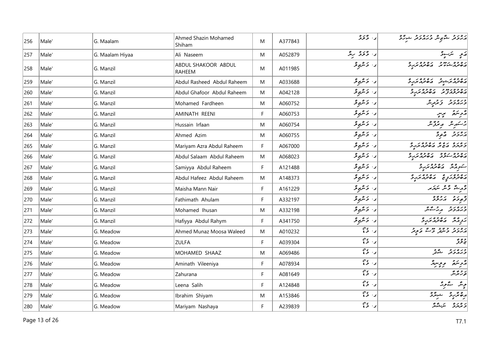| 256 | Male' | G. Maalam       | Ahmed Shazin Mohamed<br>Shiham | M           | A377843 | ء پی چی                                                                                                       | رەرد بەر دىرەرد ب                                                             |
|-----|-------|-----------------|--------------------------------|-------------|---------|---------------------------------------------------------------------------------------------------------------|-------------------------------------------------------------------------------|
| 257 | Male' | G. Maalam Hiyaa | Ali Naseem                     | M           | A052879 | كى بەنتى رىگە                                                                                                 | أركمني التكريدي                                                               |
| 258 | Male' | G. Manzil       | ABDUL SHAKOOR ABDUL<br>RAHEEM  | M           | A011985 | $ z-\hat{z} $ ى ئەرى                                                                                          | נסכם נחבב נסכם נים<br>הסנקה ביות הסנקה <i>הג</i> ב                            |
| 259 | Male' | G. Manzil       | Abdul Rasheed Abdul Raheem     | M           | A033688 | $\left  \begin{smallmatrix} 2 & 2 & 3 \ 2 & 3 & 3 \end{smallmatrix} \right $                                  | ره وه روسوتر در ووه برره<br>مان ترم برشوتر در تارم بربر                       |
| 260 | Male' | G. Manzil       | Abdul Ghafoor Abdul Raheem     | M           | A042128 | <sub>ى</sub> ئەتەممى پى                                                                                       | נס כסגמכ כנס כסגם<br>השינית ניציאת שינה בגב                                   |
| 261 | Male' | G. Manzil       | Mohamed Fardheen               | M           | A060752 | ى كەشپۇ                                                                                                       | ورەر و كەرپە                                                                  |
| 262 | Male' | G. Manzil       | AMINATH REENI                  | F           | A060753 | ء- ځنگبوقر                                                                                                    | ومرادة المرس                                                                  |
| 263 | Male' | G. Manzil       | Hussain Irfaan                 | M           | A060754 | ء- دَشمِوڤ                                                                                                    |                                                                               |
| 264 | Male' | G. Manzil       | Ahmed Azim                     | M           | A060755 | <mark>ء - ئەنگەنچ</mark>                                                                                      | ره رو په و                                                                    |
| 265 | Male' | G. Manzil       | Mariyam Azra Abdul Raheem      | F           | A067000 | ء - ئەنتىبەقر                                                                                                 | גם גם גם ב גם כם גם<br>כינונים היאיני השנגיניותים                             |
| 266 | Male' | G. Manzil       | Abdul Salaam Abdul Raheem      | M           | A068023 | <mark>ء<sub>َ</sub>، ئەن</mark> تى <sub>م</sub> ۇ                                                             | ג ם כם ג גם ה גם כם גם<br>גם <i>ע</i> ג <del>– יכ</del> כ" גם <i>בג ג ב</i> כ |
| 267 | Male' | G. Manzil       | Samiyya Abdul Raheem           | F           | A121488 | <mark>ء - ئەنگەنچ</mark>                                                                                      | سومه رەدەر ە                                                                  |
| 268 | Male' | G. Manzil       | Abdul Hafeez Abdul Raheem      | M           | A148373 | ى كەشپى                                                                                                       | ג הכביר כך הפכה גם<br>הסתיבה הָ בְּבִית הבית                                  |
| 269 | Male' | G. Manzil       | Maisha Mann Nair               | F           | A161229 | ى كەشپى                                                                                                       | دَّەڭ دُسْ سَرَىر                                                             |
| 270 | Male' | G. Manzil       | Fathimath Ahulam               | F           | A332197 | ى ئەشرىر بۇ                                                                                                   | و دو دروه                                                                     |
| 271 | Male' | G. Manzil       | Mohamed Ihusan                 | ${\sf M}$   | A332198 | ى كەشپى                                                                                                       | ورەرو مەشھ                                                                    |
| 272 | Male' | G. Manzil       | Hafiyya Abdul Rahym            | F           | A341750 | <mark>ء - ئەنگەنچ</mark>                                                                                      | י 2010 נפרס ני 2010<br>הצגות גם <i>בסינו</i> הגב                              |
| 273 | Male' | G. Meadow       | Ahmed Munaz Moosa Waleed       | M           | A010232 | $\frac{\partial c}{\partial x}$                                                                               | ره رو و و و دو می کرد و<br>مربرونډ و سرنډ و ک                                 |
| 274 | Male' | G. Meadow       | <b>ZULFA</b>                   | $\mathsf F$ | A039304 | $\frac{\partial c}{\partial x}$ .                                                                             | و ه و.<br>پح محرار                                                            |
| 275 | Male' | G. Meadow       | MOHAMED SHAAZ                  | M           | A069486 | ی ځې                                                                                                          | ورەرو ھەد<br><i>وبەم</i> ۈش <mark>ئى</mark> قر                                |
| 276 | Male' | G. Meadow       | Aminath Vileeniya              | F           | A078934 | $\frac{\partial c}{\partial x}$                                                                               | أرمز سره<br>ە دىسرد<br><u>سىق</u> ىر                                          |
| 277 | Male' | G. Meadow       | Zahurana                       | F           | A081649 | $\frac{\partial c}{\partial x}$ , $c$                                                                         | ر جەمە<br>فو <sup>ر</sup> بىرىتر                                              |
| 278 | Male' | G. Meadow       | Leena Salih                    | F.          | A124848 | $\overset{\circ}{\mathfrak{c}}\overset{\circ}{\mathfrak{s}}\cdot\mathfrak{s}$                                 | دٍ سَمَّ دِينَ جَمْعَةٍ                                                       |
| 279 | Male' | G. Meadow       | Ibrahim Shiyam                 | M           | A153846 | $\overset{\mathcal{C}}{\mathcal{E}}\overset{\mathcal{C}}{\mathcal{S}}\cdot\overset{\mathcal{S}}{\mathcal{S}}$ | دە ئۆرۈ<br>شوپژو                                                              |
| 280 | Male' | G. Meadow       | Mariyam Nashaya                | F           | A239839 | $\frac{\partial c}{\partial x}$                                                                               | ر ه بر ه<br><del>و</del> بربر و<br>سَرَحْشَةَ تَرَّ                           |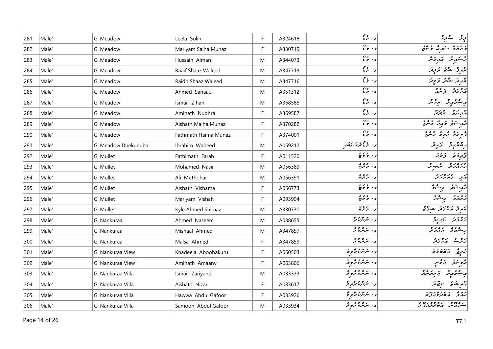| 281 | Male' | G. Meadow            | Leela Solih          | F         | A324618 | $\begin{array}{c} \n0 & c \\ \epsilon & \rightarrow \end{array}$                       | لمحيق ستمريثه                             |
|-----|-------|----------------------|----------------------|-----------|---------|----------------------------------------------------------------------------------------|-------------------------------------------|
| 282 | Male' | G. Meadow            | Mariyam Saiha Munaz  | F         | A330719 | $\overset{\mathcal{C}}{\mathcal{E}}\mathcal{S}\rightarrow\mathcal{S}$                  |                                           |
| 283 | Male' | G. Meadow            | Hussain Aiman        | ${\sf M}$ | A344073 | ی ځې                                                                                   |                                           |
| 284 | Male' | G. Meadow            | Raaif Shaaz Waleed   | M         | A347713 | $\overset{\circ}{\mathcal{E}}$                                                         | بمروش الشمع أوالمحموم                     |
| 285 | Male' | G. Meadow            | Raidh Shaaz Waleed   | M         | A347716 | $\overset{\circ}{\mathcal{E}}$                                                         | بمهرش حثمش وكمحيض                         |
| 286 | Male' | G. Meadow            | Ahmed Sanaau         | M         | A351312 | $\frac{\partial c}{\partial x}$                                                        | أرەر د ئەر                                |
| 287 | Male' | G. Meadow            | Ismail Zihan         | M         | A368585 | $\frac{\partial c}{\partial x}$                                                        | أرب مؤروعه بالمحاشر                       |
| 288 | Male' | G. Meadow            | Aminath Nudhra       | F         | A369587 | $\begin{array}{c} \mathcal{C} \\ \mathcal{E} \end{array}$ . s                          |                                           |
| 289 | Male' | G. Meadow            | Aishath Maiha Munaz  | F         | A370282 | $\overset{\mathcal{C}}{\mathcal{E}}\overset{\mathcal{C}}{\mathcal{F}}\cdot\mathcal{S}$ |                                           |
| 290 | Male' | G. Meadow            | Fathmath Haima Munaz | F         | A374001 | $\frac{\partial c}{\partial x}$                                                        | و ده شهرهٔ دسمه                           |
| 291 | Male' | G. Meadow Dhekunubai | Ibrahim Waheed       | M         | A059212 | ، د می د وړ.<br>د او د مرسمه                                                           | وە ئەر ئەر                                |
| 292 | Male' | G. Mullet            | Fathimath Farah      | F         | A011520 | ى بەر جەھ                                                                              | قرم قريره                                 |
| 293 | Male' | G. Mullet            | Mohamed Nasir        | M         | A056389 | ر ۔ ووچ<br>د - مرکبے                                                                   | ورەرو شەر                                 |
| 294 | Male' | G. Mullet            | Ali Muthohar         | ${\sf M}$ | A056391 | ر ۔ ووچ<br>د ۔ وفرج                                                                    | 7,0,0,0,0,0,0,0,0                         |
| 295 | Male' | G. Mullet            | Aishath Vishama      | F         | A056773 | ى بەر ج                                                                                | أقهر مشكرة ومشكرة                         |
| 296 | Male' | G. Mullet            | Mariyam Vishah       | F         | A093994 | ى بەر ئىقى                                                                             | وبورو ويقته                               |
| 297 | Male' | G. Mullet            | Kyle Ahmed Shimaz    | M         | A330730 | ى بەر جەھ                                                                              | أنار والارد والمودمى                      |
| 298 | Male' | G. Nankuraa          | Ahmed Naseem         | M         | A038655 | ى سەھەم ئە                                                                             |                                           |
| 299 | Male' | G. Nankuraa          | Mishaal Ahmed        | M         | A347857 | ى سەھەم ئىگە                                                                           | وشهد ده ده                                |
| 300 | Male' | G. Nankuraa          | Malsa Ahmed          | F         | A347859 | ى سىرتىرىدىگە                                                                          | د و شه پره د و د                          |
| 301 | Male' | G. Nankuraa View     | Khadeeja Aboobakuru  | F         | A060503 |                                                                                        | أزبرق مقصر                                |
| 302 | Male' | G. Nankuraa View     | Aminath Amaany       | F         | A063806 | ى سىر مەمۇرى                                                                           | أزويتم أرؤس                               |
| 303 | Male' | G. Nankuraa Villa    | Ismail Zariyand      | ${\sf M}$ | A033333 | .<br>ئ <sup>ە</sup> ئىرىش ئىگرىمونى                                                    | وكوكوفر كالمرمرانية                       |
| 304 | Male' | G. Nankuraa Villa    | Aishath Nizar        | F         | A033617 | - سۇرىي ئىگرىزىگىرىدىكى<br>ئ                                                           |                                           |
| 305 | Male' | G. Nankuraa Villa    | Hawwa Abdul Gafoor   | F         | A033926 | - سەھەم ئىگرىدىگە                                                                      |                                           |
| 306 | Male' | G. Nankuraa Villa    | Samoon Abdul Gafoor  | ${\sf M}$ | A033934 | ى سىر مەھم بۇ بۇ                                                                       | ה סמכם ה כפסה מכב<br>הברגיות השינת מהאת מ |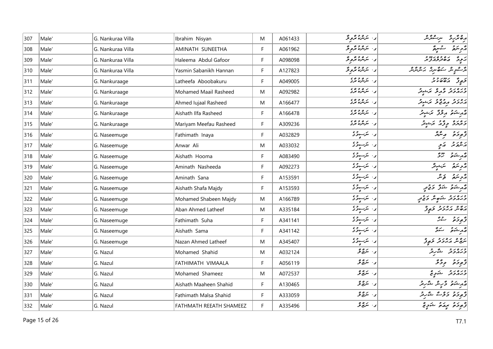| 307 | Male' | G. Nankuraa Villa | Ibrahim Nisyan          | M         | A061433 | ى سىر سىر بىر بىر قى       | سرے پر ہ<br>ەر ھەترىر <i>3</i><br>م        |
|-----|-------|-------------------|-------------------------|-----------|---------|----------------------------|--------------------------------------------|
| 308 | Male' | G. Nankuraa Villa | AMINATH SUNEETHA        | F         | A061962 | ى سىر مەمۇمۇ ئى            | أزويته كساريم                              |
| 309 | Male' | G. Nankuraa Villa | Haleema Abdul Gafoor    | F         | A098098 | ى سەھرىم ئۇي ئى            | ر ه د ه د دد د<br>پره تر پر تر بر<br>بزيزة |
| 310 | Male' | G. Nankuraa Villa | Yasmin Sabanikh Hannan  | F         | A127823 | ى سىر ئىرىم ئىرى ئى        | ۇرمولىر مەھرىرى ئەرگەر                     |
| 311 | Male' | G. Nankuraage     | Latheefa Aboobakuru     | F         | A049005 | ر ه و و و د<br>د ۱ سرس در  | בִפְּל מִסְטִית                            |
| 312 | Male' | G. Nankuraage     | Mohamed Maail Rasheed   | M         | A092982 | ر ه و و و د<br>د ۱ سرس مرد | ورەرو ۋرۇ برَشوتر                          |
| 313 | Male' | G. Nankuraage     | Ahmed Iujaal Rasheed    | M         | A166477 | ر ه و و و و<br>د ۱ سرس مرد | גפנק גבליק היינק                           |
| 314 | Male' | G. Nankuraage     | Aishath Ilfa Rasheed    | F         | A166478 | ر ه و و و د<br>د ۱ سرس برد | أقهر ينكفح أرقوقر المرجوش                  |
| 315 | Male' | G. Nankuraage     | Mariyam Meefau Rasheed  | F         | A309236 |                            | و مرمرد و ژم برشوند                        |
| 316 | Male' | G. Naseemuge      | Fathimath Inaya         | F         | A032829 | ى شەھىرى<br>ئ              | أزودة ويثتر                                |
| 317 | Male' | G. Naseemuge      | Anwar Ali               | M         | A033032 | ى سەسىرى                   | برەيرى پەر                                 |
| 318 | Male' | G. Naseemuge      | Aishath Hooma           | F         | A083490 | ى سەسىرى                   | أو مريد ودي                                |
| 319 | Male' | G. Naseemuge      | Aminath Nasheeda        | F         | A092273 | ى سەسىرى                   | أأترح متكم أتتكرمون                        |
| 320 | Male' | G. Naseemuge      | Aminath Sana            | F         | A153591 | ى سەسىرى                   | ۇ ئەسىرە ئەيتر                             |
| 321 | Male' | G. Naseemuge      | Aishath Shafa Majdy     | F         | A153593 | لى سەسىر <i>ە ئ</i>        | أمار مشكاة الشرق والمحافير                 |
| 322 | Male' | G. Naseemuge      | Mohamed Shabeen Majdy   | M         | A166789 | ی کمرسوح کی                | ورەرو خەھ ئەك دەپر                         |
| 323 | Male' | G. Naseemuge      | Aban Ahmed Latheef      | M         | A335184 | ر سر پروی<br>ای سر پروی    | גשם גם גב בתל                              |
| 324 | Male' | G. Naseemuge      | Fathimath Suha          | F         | A341141 | ى شەھىرى<br>ئ              | قەم ئەرە ئەر                               |
| 325 | Male' | G. Naseemuge      | Aishath Sama            | F         | A341142 | ى سەسىرى                   | ۇرمۇم كۆ                                   |
| 326 | Male' | G. Naseemuge      | Nazan Ahmed Latheef     | M         | A345407 | ى سەسىرى                   | ر پر در در در و                            |
| 327 | Male' | G. Nazul          | Mohamed Shahid          | M         | A032124 | ى سىرچى بى                 | ورەرو شەرىر                                |
| 328 | Male' | G. Nazul          | FATHIMATH VIMAALA       | F         | A056119 | ى سىچىمى                   | وتجوحكم وقرقر                              |
| 329 | Male' | G. Nazul          | Mohamed Shameez         | ${\sf M}$ | A072537 | ى سىۋىۋ                    | ورەر ئەن ئەربى                             |
| 330 | Male' | G. Nazul          | Aishath Maaheen Shahid  | F         | A130465 | ى سىرە بۇ                  | وأرشكم وكريش كالرقر                        |
| 331 | Male' | G. Nazul          | Fathimath Malsa Shahid  | F         | A333059 | ار سىڭ بۇ                  | وٌ و د و د و گ گرد                         |
| 332 | Male' | G. Nazul          | FATHMATH REEATH SHAMEEZ | F         | A335496 | ى سىرچ بۇ                  | توجدة برمام خوج                            |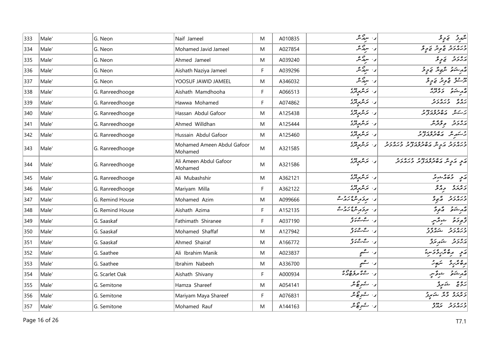| 333 | Male' | G. Neon         | Naif Jameel                           | M           | A010835 | ی سرگاهی                                                                 | بمرز فوود                                                                                                     |
|-----|-------|-----------------|---------------------------------------|-------------|---------|--------------------------------------------------------------------------|---------------------------------------------------------------------------------------------------------------|
| 334 | Male' | G. Neon         | Mohamed Javid Jameel                  | M           | A027854 | ی سرگاهر                                                                 | ورورو وموتر وكالحي                                                                                            |
| 335 | Male' | G. Neon         | Ahmed Jameel                          | M           | A039240 | ای میدهی<br>نسبت                                                         | أزور والمحافي                                                                                                 |
| 336 | Male' | G. Neon         | Aishath Naziya Jameel                 | F           | A039296 | ى سىمىگىر                                                                | وأرشكتم شيوش في و                                                                                             |
| 337 | Male' | G. Neon         | YOOSUF JAWID JAMEEL                   | M           | A346032 | $\overbrace{\mathcal{LL}}^{\mathcal{Q}}_{\mathcal{PL}}\cdot s^{\dagger}$ | وحد حرمي المحافظ المحافية في المحرم المحرم المحرم المحرم المحرم المحرم المحرم المحرم المحرم المحرم المحرم الم |
| 338 | Male' | G. Ranreedhooge | Aishath Mamdhooha                     | F           | A066513 | ر بر مرکز ده<br>د کر مرکز در                                             | و در ده ده ده.<br>د کار شوی د ترویزی                                                                          |
| 339 | Male' | G. Ranreedhooge | Hawwa Mohamed                         | F           | A074862 | د . نرگرمزنری<br>د . نرگرمزنری                                           | رەپ درەرد<br>برمۇ <i>دب</i> ەردىر                                                                             |
| 340 | Male' | G. Ranreedhooge | Hassan Abdul Gafoor                   | M           | A125438 | ر بر عرم دور<br>د بر عرم بر ترو                                          | ر ده ده ده دود<br>پرستن مان ترخ تر                                                                            |
| 341 | Male' | G. Ranreedhooge | Ahmed Willdhan                        | M           | A125444 | <sub>ی</sub> پره <sub>م</sub> پرتر <sub>ک</sub>                          | أرور ووثر و                                                                                                   |
| 342 | Male' | G. Ranreedhooge | Hussain Abdul Gafoor                  | M           | A125460 | د کر شرور دوم                                                            | د کرد ده دره درود<br>پرکستهرین مان موفر د بر                                                                  |
| 343 | Male' | G. Ranreedhooge | Mohamed Ameen Abdul Gafoor<br>Mohamed | M           | A321585 | ، ئەشرىرىدى                                                              | כנמגב ג' ם גם כם גמב בנסגב<br>בגמבת הכֱית השתיכה צ'א בגמבת                                                    |
| 344 | Male' | G. Ranreedhooge | Ali Ameen Abdul Gafoor<br>Mohamed     | M           | A321586 | <sub>ی</sub> پره <sub>م</sub> پرتر <sub>ک</sub>                          | ג' ג'ב יי הסיכס ברים ברים ברים.<br>ה'ב ג'ב יי הסיניבות ב' ב' הגביב                                            |
| 345 | Male' | G. Ranreedhooge | Ali Mubashshir                        | M           | A362121 | <sub>ی</sub> پرکرمرفری                                                   | أمرمو التحصم والمسومر                                                                                         |
| 346 | Male' | G. Ranreedhooge | Mariyam Milla                         | $\mathsf F$ | A362122 | و . نرگرمرفری                                                            | ويرده وادعى                                                                                                   |
| 347 | Male' | G. Remind House | Mohamed Azim                          | M           | A099666 | ى برۇرشۇر ئەرم                                                           | ەتىمى بى<br>و ره ر و<br>د بر د تر تر                                                                          |
| 348 | Male' | G. Remind House | Aishath Azima                         | F           | A152135 | ى برۇرمۇر ئەرق                                                           | وأرشنتم وأنوقر                                                                                                |
| 349 | Male' | G. Saaskaf      | Fathimath Shiranee                    | F           | A037190 | ى شەھەرە                                                                 | ۇي <sub>م</sub> ۇ ئىرترىپر                                                                                    |
| 350 | Male' | G. Saaskaf      | Mohamed Shaffaf                       | M           | A127942 | ى شەھەرە                                                                 | وره رو در دوو<br><i>وبرو</i> ور شه <i>وو</i>                                                                  |
| 351 | Male' | G. Saaskaf      | Ahmed Shairaf                         | M           | A166772 | ى شەھەرە                                                                 | رەرو خەرىرە                                                                                                   |
| 352 | Male' | G. Saathee      | Ali Ibrahim Manik                     | M           | A023837 | ای شمعي                                                                  | ړی ره ټروکر                                                                                                   |
| 353 | Male' | G. Saathee      | Ibrahim Nabeeh                        | M           | A336700 | ای شخصی                                                                  | سكرە<br>ە ھەترىر <sup>ى</sup>                                                                                 |
| 354 | Male' | G. Scarlet Oak  | Aishath Shivany                       | F           | A000934 | 0000000000000                                                            | ۇرمۇق سوڭىر                                                                                                   |
| 355 | Male' | G. Semitone     | Hamza Shareef                         | M           | A054141 | ى سەرقۇش                                                                 | برويج المشميرو                                                                                                |
| 356 | Male' | G. Semitone     | Mariyam Maya Shareef                  | $\mathsf F$ | A076831 | ى سۇرغ ئىر                                                               | رەرە دە شەيرو                                                                                                 |
| 357 | Male' | G. Semitone     | Mohamed Rauf                          | M           | A144163 | <mark>ى ئەرت</mark> ۇنىڭە                                                | כנסנכ נדסם<br><i>כג</i> ונכנג <i>א</i> גנ                                                                     |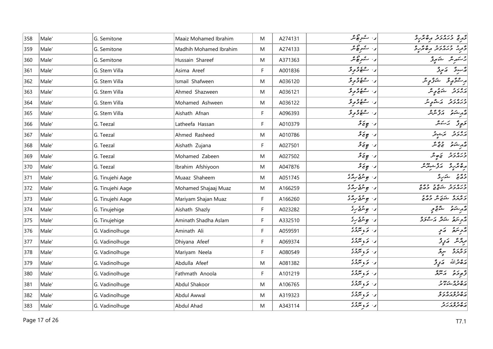| 358 | Male' | G. Semitone      | Maaiz Mohamed Ibrahim  | M  | A274131 | <sub>ى</sub> سەھ ھ          | وٌرِيحَ وَيَرْدُونَ رِهِ يُرْرِدُ                                                                                                                                                                                                          |
|-----|-------|------------------|------------------------|----|---------|-----------------------------|--------------------------------------------------------------------------------------------------------------------------------------------------------------------------------------------------------------------------------------------|
| 359 | Male' | G. Semitone      | Madhih Mohamed Ibrahim | M  | A274133 | <sub>ى</sub> سەھ ھاش        |                                                                                                                                                                                                                                            |
| 360 | Male' | G. Semitone      | Hussain Shareef        | M  | A371363 | ر . س <i>ئوچ</i> مگر        | چە سەر ھەر ئەيدۇ                                                                                                                                                                                                                           |
| 361 | Male' | G. Stem Villa    | Asima Areef            | F  | A001836 | ى سەھ ۋە ئۇ                 | لتمسوقه<br>ەئىمىرى                                                                                                                                                                                                                         |
| 362 | Male' | G. Stem Villa    | Ismail Shafween        | M  | A036120 | ى شەھۇمۇ                    | بر شۇ پۇ سۇر ئىر                                                                                                                                                                                                                           |
| 363 | Male' | G. Stem Villa    | Ahmed Shazween         | M  | A036121 | ى سىۋۇمۇگە                  | رەرو شەرەپ                                                                                                                                                                                                                                 |
| 364 | Male' | G. Stem Villa    | Mohamed Ashween        | M  | A036122 | ى شۇۋەپۇ                    | ورەرو كەشمەتك                                                                                                                                                                                                                              |
| 365 | Male' | G. Stem Villa    | Aishath Afnan          | F  | A096393 | ى سىۋۇمۇگە                  | قەرشىق مۇشرىر                                                                                                                                                                                                                              |
| 366 | Male' | G. Teezal        | Latheefa Hassan        | F  | A010379 | ر· مونځ گر                  | خبوِرٌ يَسَتَسَّ                                                                                                                                                                                                                           |
| 367 | Male' | G. Teezal        | Ahmed Rasheed          | M  | A010786 | ر و پخ گر                   | أرور و مرشوش                                                                                                                                                                                                                               |
| 368 | Male' | G. Teezal        | Aishath Zujana         | F. | A027501 | ى بەيخ                      | أمر مشور و و محمد الله                                                                                                                                                                                                                     |
| 369 | Male' | G. Teezal        | Mohamed Zabeen         | M  | A027502 | $rac{1}{2}$ $rac{1}{2}$     | وره دو کاه ش                                                                                                                                                                                                                               |
| 370 | Male' | G. Teezal        | Ibrahim Afshiyoon      | M  | A047876 | ى ھۆكەنتى                   | رەن <i>گەر ئىگەنىدى</i> ر                                                                                                                                                                                                                  |
| 371 | Male' | G. Tinujehi Aage | Muaaz Shaheem          | M  | A051745 | ی ۔ جو سرقی سرچری           | ووو شرو                                                                                                                                                                                                                                    |
| 372 | Male' | G. Tinujehi Aage | Mohamed Shajaaj Muaz   | M  | A166259 | ی ۔ جو مرتج پروگر           | ورەر د پرو دەە<br><i>دىد</i> روتر شوقى <i>و</i> رى                                                                                                                                                                                         |
| 373 | Male' | G. Tinujehi Aage | Mariyam Shajan Muaz    | F  | A166260 | د. ھِ يتنھُ پر پر د         | ג פגם בגבים בשיב<br>כינות כ לבניות בניי                                                                                                                                                                                                    |
| 374 | Male' | G. Tinujehige    | Aishath Shazly         | F  | A023282 | <sub>ی</sub> یع شرقی سرتی   | و اور شکو شریع کر                                                                                                                                                                                                                          |
| 375 | Male' | G. Tinujehige    | Aminath Shadha Aslam   | F. | A332510 | ء <sub>`</sub> ھِسمَّ ھُرىد | و کر دی در ۲۵ دره در ۲۶ در ۲۵ در ۲۵ در ۲۵ در ۲۵ در ۲۵ در ۲۵ در ۲۵ در ۲۵ در ۲۵ در ۲۵ در ۲۵ در ۲۵ در ۲۵ در ۲۵ در                                                                                                                             |
| 376 | Male' | G. Vadinolhuge   | Aminath Ali            | F  | A059591 | ى ئەرەپىرى                  | أأترسم أأأتمني                                                                                                                                                                                                                             |
| 377 | Male' | G. Vadinolhuge   | Dhiyana Afeef          | F. | A069374 |                             | <sub>مری</sub> ر پیمر کردید کردید کردید کردید کردید کردید کردید کردید کردید که استفاده کردید که استفاده کردید که استفاده کر<br>مراسم کردید کردید کردید کردید کردید کردید کردید کردید کردید کردید کردید کردید کردید کردید کردید کردید کردید |
| 378 | Male' | G. Vadinolhuge   | Mariyam Neela          | F  | A080549 | ى ئەستەدە<br>ئەستەرلىرى     | ئەتەرە<br>سرپڅر                                                                                                                                                                                                                            |
| 379 | Male' | G. Vadinolhuge   | Abdulla Afeef          | M  | A081382 | ى ئەرەپىرى                  | رەمەللە<br>ەردۇ                                                                                                                                                                                                                            |
| 380 | Male' | G. Vadinolhuge   | Fathmath Anoola        | F  | A101219 | ی نحره موده<br>ی خرم شرقری  | و و در در در                                                                                                                                                                                                                               |
| 381 | Male' | G. Vadinolhuge   | Abdul Shakoor          | M  | A106765 | ى ·   ھَ ۽ مَتربو ي         | ر ٥ ۶ ٥ ٥ روو و<br>پرڪ توپر شونو تو                                                                                                                                                                                                        |
| 382 | Male' | G. Vadinolhuge   | <b>Abdul Awwal</b>     | M  | A319323 | ی که عروم<br>ی گوشرین       | ر ه د ه ر ه ر ه<br>پره تر پر پر و تر                                                                                                                                                                                                       |
| 383 | Male' | G. Vadinolhuge   | Abdul Ahad             | M  | A343114 | ی که عروم<br>ی گوشرین       | ر ٥ ۶ و <i>۶ د ر ۶</i><br>پره تر <i>تر پر</i> تر                                                                                                                                                                                           |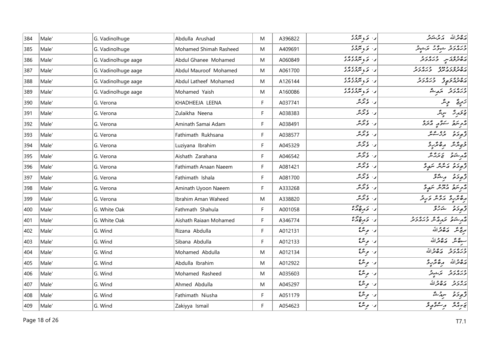| 384 | Male' | G. Vadinolhuge      | Abdulla Arushad        | M           | A396822 | <sub>ی</sub> گروپچوی                                                                              | أرة قرالله كالمرتبط                                        |
|-----|-------|---------------------|------------------------|-------------|---------|---------------------------------------------------------------------------------------------------|------------------------------------------------------------|
| 385 | Male' | G. Vadinolhuge      | Mohamed Shimah Rasheed | M           | A409691 | <sub>ی</sub> کو پا میروی                                                                          | ورەرو خوگە كەشور<br><i>وبەد</i> ۈتە خوگە كەشوتە            |
| 386 | Male' | G. Vadinolhuge aage | Abdul Ghanee Mohamed   | M           | A060849 | <br>  د المحکم میں دورہ دی                                                                        | גפרפגית רגם גר                                             |
| 387 | Male' | G. Vadinolhuge aage | Abdul Mauroof Mohamed  | M           | A061700 | .<br>د غوش د د د                                                                                  | נס כסני כדכם - כנסני כ<br>השי <i>ני כב היינ" - כי הכינ</i> |
| 388 | Male' | G. Vadinolhuge aage | Abdul Latheef Mohamed  | M           | A126144 | $\frac{1}{1}$ $\frac{1}{2}$ $\frac{1}{2}$ $\frac{1}{2}$ $\frac{1}{2}$ $\frac{1}{2}$ $\frac{1}{2}$ | גם כסגם פגם גב<br>גם <i>נגב</i> ם פג <i>ה</i> כת           |
| 389 | Male' | G. Vadinolhuge aage | Mohamed Yaish          | M           | A160086 | $\frac{c s c s s}{c s s s s s s s}$                                                               | כנסנכ תוכל                                                 |
| 390 | Male' | G. Verona           | KHADHEEJA LEENA        | $\mathsf F$ | A037741 | ى ئەھمەتىگە                                                                                       | كزمرة ومحيثر                                               |
| 391 | Male' | G. Verona           | Zulaikha Neena         | $\mathsf F$ | A038383 | ى بەھ پىر                                                                                         | ەرگەر ئىس بىر                                              |
| 392 | Male' | G. Verona           | Aminath Samai Adam     | F           | A038491 | ى بىر ھەر                                                                                         | أأد الملح المسترد الملاح                                   |
| 393 | Male' | G. Verona           | Fathimath Rukhsana     | F           | A038577 | ى بەھ پىر                                                                                         | أو برد وه وه وه                                            |
| 394 | Male' | G. Verona           | Luziyana Ibrahim       | $\mathsf F$ | A045329 | ى بەر ھەر ئىگە                                                                                    | دبرشر رەپرى                                                |
| 395 | Male' | G. Verona           | Aishath Zarahana       | F           | A046542 | ى بەھ پىر                                                                                         | ۇرىشقى ئىمر                                                |
| 396 | Male' | G. Verona           | Fathimath Anaan Naeem  | F           | A081421 | ى ئەھمەتىگە                                                                                       | تحوجوه وتكره تتمدد                                         |
| 397 | Male' | G. Verona           | Fathimath Ishala       | $\mathsf F$ | A081700 | ى بەھ بىر ئىگر                                                                                    | ژوده رېڅو                                                  |
| 398 | Male' | G. Verona           | Aminath Uyoon Naeem    | F           | A333268 | ى بەھ ئەر                                                                                         | أتر برو وووه مريده                                         |
| 399 | Male' | G. Verona           | Ibrahim Aman Waheed    | M           | A338820 | <sub>ی</sub> عمر محر مگر                                                                          | رە ئەر ئەر ئەر ئەر ئە                                      |
| 400 | Male' | G. White Oak        | Fathmath Shahula       | F           | A001058 | 000000000                                                                                         | أوجوحه المسترقر                                            |
| 401 | Male' | G. White Oak        | Aishath Raiaan Mohamed | F           | A346774 | 280/2.5                                                                                           | ה<br>התיימים ימגהית במגבת                                  |
| 402 | Male' | G. Wind             | Rizana Abdulla         | F           | A012131 | ی ۔ حدیثی                                                                                         | سِبِّحْ مَدَّ صَدَّاللَّهَ                                 |
| 403 | Male' | G. Wind             | Sibana Abdulla         | F           | A012133 | ی ۔ حامدہ                                                                                         | سعةُ مَثَرَ مَهْ قَرَاللَّهُ                               |
| 404 | Male' | G. Wind             | Mohamed Abdulla        | M           | A012134 | ی ویژگا                                                                                           | وره رو ده دالله                                            |
| 405 | Male' | G. Wind             | Abdulla Ibrahim        | M           | A012922 | ای ویژه<br>—                                                                                      | رە قراللە مەھمەر                                           |
| 406 | Male' | G. Wind             | Mohamed Rasheed        | M           | A035603 | ار ، عبده کا                                                                                      | ورەر و كەنبەتر                                             |
| 407 | Male' | G. Wind             | Ahmed Abdulla          | M           | A045297 | <sub>ی</sub> عبده ع                                                                               | برورد بره دالله                                            |
| 408 | Male' | G. Wind             | Fathimath Niusha       | $\mathsf F$ | A051179 | ء موشنا                                                                                           | رُّجِرَةً سِينَةً                                          |
| 409 | Male' | G. Wind             | Zakiyya Ismail         | F           | A054623 | ى وشده                                                                                            | ى بورى بە ئە ئۇربى                                         |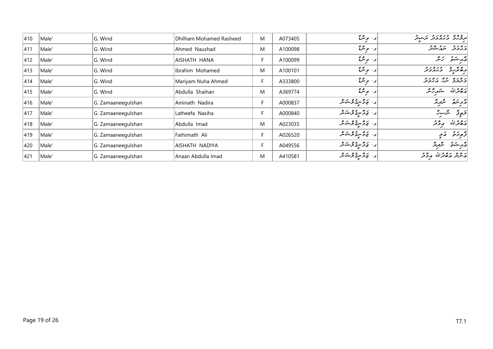| 410 | Male'        | G. Wind            | Dhilham Mohamed Rasheed | M | A073405 | ی ۔ حرمنگ                                                                                                                                              |                                        |
|-----|--------------|--------------------|-------------------------|---|---------|--------------------------------------------------------------------------------------------------------------------------------------------------------|----------------------------------------|
| 411 | Male'        | G. Wind            | Ahmed Naushad           | M | A100098 | ی. عەمشكا                                                                                                                                              | رەر ئەرمۇر                             |
| 412 | Male'        | G. Wind            | AISHATH HANA            |   | A100099 | ی- حەمدى                                                                                                                                               | لەر ئىكە ئەس                           |
| 413 | Male'        | G. Wind            | Ibrahim Mohamed         | M | A100101 | ی ۔ حرمنگ                                                                                                                                              | دە ئەرە دىرە دە                        |
| 414 | <i>Male'</i> | G. Wind            | Mariyam Nuha Ahmed      |   | A333800 | ی- عەمشكا                                                                                                                                              | ر ہ رہ ۔ دہ رہ رہ۔<br>حمد مرید مدیر تر |
| 415 | Male'        | G. Wind            | Abdulla Shaihan         | M | A369774 | ی- عرمثرة                                                                                                                                              | ح قولله خرمر محمد                      |
| 416 | Male'        | G. Zamaaneegulshan | Aminath Nadira          |   | A000837 | ء ، ئۇ ئامىر ئۇ ئۇ شەمگر                                                                                                                               | أرتجه ستقريثه                          |
| 417 | Male'        | G. Zamaaneegulshan | Latheefa Nasiha         |   | A000840 | ء ، ئۈگ ئىرقەقرىشكە ئىر                                                                                                                                | كَبِهِ رَبَّ - سَرْبِ سِرْ             |
| 418 | Male'        | G. Zamaaneegulshan | Abdulla Imad            | M | A023035 | $\left  \begin{array}{c} \mathbf{1}_{1} \mathbf{1}_{2} \mathbf{1}_{3} \mathbf{1}_{4} \mathbf{1}_{5} \mathbf{1}_{6} \mathbf{1}_{7} \end{array} \right $ | ح صحرالله صرح مر                       |
| 419 | Male'        | G. Zamaaneegulshan | Fathimath Ali           |   | A026520 | ء ، ئۈگ ئىرقەقرىشكە ئىر                                                                                                                                | وتجوحره الكامي                         |
| 420 | Male'        | G. Zamaaneegulshan | AISHATH NADIYA          |   | A049556 | $ z\cdot\hat{z} ^2$ ىر ئۇ ئۇ ئەس                                                                                                                       | أوأور مشكاهي المتقرور                  |
| 421 | Male'        | G. Zamaaneegulshan | Anaan Abdulla Imad      | M | A410581 | $\left  \begin{array}{c} \mathbf{1}_{1} \mathbf{1}_{2} \mathbf{1}_{3} \mathbf{1}_{4} \mathbf{1}_{5} \mathbf{1}_{6} \mathbf{1}_{7} \end{array} \right $ | أصغر محدد الله محصر                    |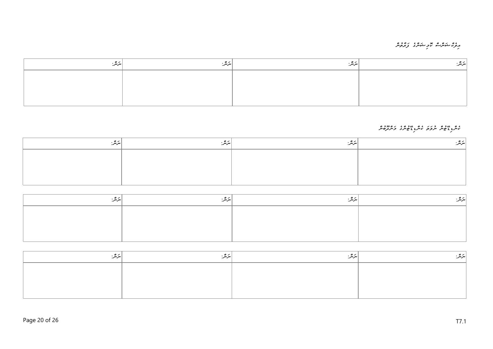## *w7qAn8m? sCw7mRo>u; wEw7mRw;sBo<*

| ' مرمر | 'يئرىثر: |
|--------|----------|
|        |          |
|        |          |
|        |          |

## *w7q9r@w7m> sCw7qHtFoFw7s; mAm=q7 w7qHtFoFw7s;*

| يئرمىش: | $^{\circ}$<br>. سر سر<br>$\cdot$ | $\circ$ $\sim$<br>-- | يئرمثر |
|---------|----------------------------------|----------------------|--------|
|         |                                  |                      |        |
|         |                                  |                      |        |
|         |                                  |                      |        |

| $\frac{2}{n}$ | $^{\circ}$ | $\frac{2}{n}$ | $^{\circ}$<br>سرسر. |
|---------------|------------|---------------|---------------------|
|               |            |               |                     |
|               |            |               |                     |
|               |            |               |                     |

| ىرتىر: | 。<br>سر سر | .,<br>مرسر |
|--------|------------|------------|
|        |            |            |
|        |            |            |
|        |            |            |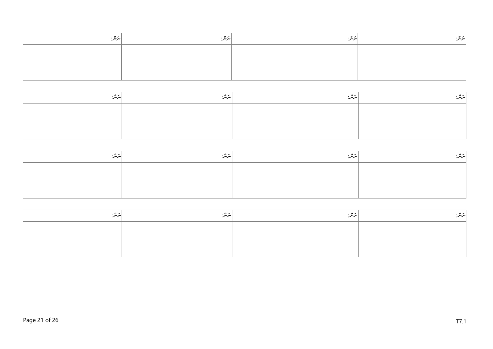| يزهر | $\mathcal{\mathcal{L}}$ | ىئرىتر: |  |
|------|-------------------------|---------|--|
|      |                         |         |  |
|      |                         |         |  |
|      |                         |         |  |

| <sup>.</sup> سرسر. |  |
|--------------------|--|
|                    |  |
|                    |  |
|                    |  |

| ىئرىتر. | $\sim$ | ا بر هه. | لىرىش |
|---------|--------|----------|-------|
|         |        |          |       |
|         |        |          |       |
|         |        |          |       |

| 。<br>مرس. | $\overline{\phantom{a}}$<br>مر مىر | ىرىر |
|-----------|------------------------------------|------|
|           |                                    |      |
|           |                                    |      |
|           |                                    |      |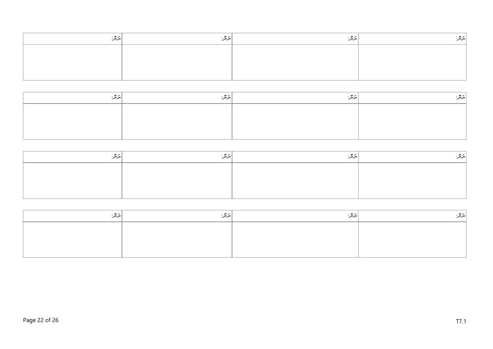| ير هو . | $\overline{\phantom{a}}$ | يرمر | اير هنه. |
|---------|--------------------------|------|----------|
|         |                          |      |          |
|         |                          |      |          |
|         |                          |      |          |

| ىر تىر: | $\circ$ $\sim$<br>" سرسر . | يبرحه | o . |
|---------|----------------------------|-------|-----|
|         |                            |       |     |
|         |                            |       |     |
|         |                            |       |     |

| الترنثر: | ' مرتكز: | الترنثر: | .,<br>سرسر. |
|----------|----------|----------|-------------|
|          |          |          |             |
|          |          |          |             |
|          |          |          |             |

|  | . ه |
|--|-----|
|  |     |
|  |     |
|  |     |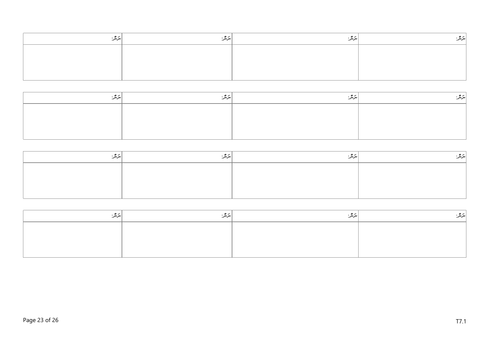| ير هو . | $\overline{\phantom{a}}$ | يرمر | اير هنه. |
|---------|--------------------------|------|----------|
|         |                          |      |          |
|         |                          |      |          |
|         |                          |      |          |

| ىر تىر: | $\circ$ $\sim$<br>" سرسر . | يبرحه | o . |
|---------|----------------------------|-------|-----|
|         |                            |       |     |
|         |                            |       |     |
|         |                            |       |     |

| 'تترنثر: | ر ه |  |
|----------|-----|--|
|          |     |  |
|          |     |  |
|          |     |  |

|  | . ه |
|--|-----|
|  |     |
|  |     |
|  |     |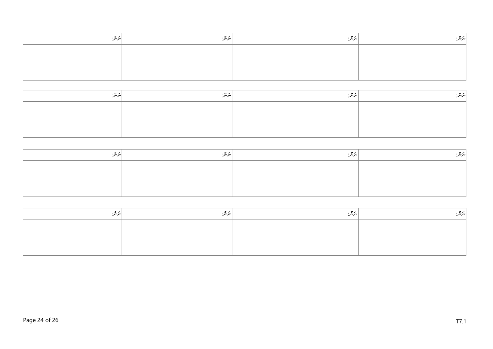| $\cdot$ | 。 | $\frac{\circ}{\cdot}$ | $\sim$<br>سرسر |
|---------|---|-----------------------|----------------|
|         |   |                       |                |
|         |   |                       |                |
|         |   |                       |                |

| يريثن | ' سرسر . |  |
|-------|----------|--|
|       |          |  |
|       |          |  |
|       |          |  |

| بر ه | . ه | $\sim$<br>سرسر |  |
|------|-----|----------------|--|
|      |     |                |  |
|      |     |                |  |
|      |     |                |  |

| 。<br>. س | ىرىىر |  |
|----------|-------|--|
|          |       |  |
|          |       |  |
|          |       |  |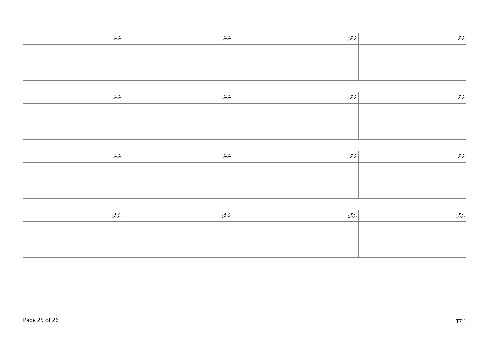| ير هو . | $\overline{\phantom{a}}$ | يرمر | اير هنه. |
|---------|--------------------------|------|----------|
|         |                          |      |          |
|         |                          |      |          |
|         |                          |      |          |

| ىر تىر: | $\circ$ $\sim$<br>" سرسر . | يبرحه | o . |
|---------|----------------------------|-------|-----|
|         |                            |       |     |
|         |                            |       |     |
|         |                            |       |     |

| انترنثر: | ر ه |  |
|----------|-----|--|
|          |     |  |
|          |     |  |
|          |     |  |

|  | . ه |
|--|-----|
|  |     |
|  |     |
|  |     |